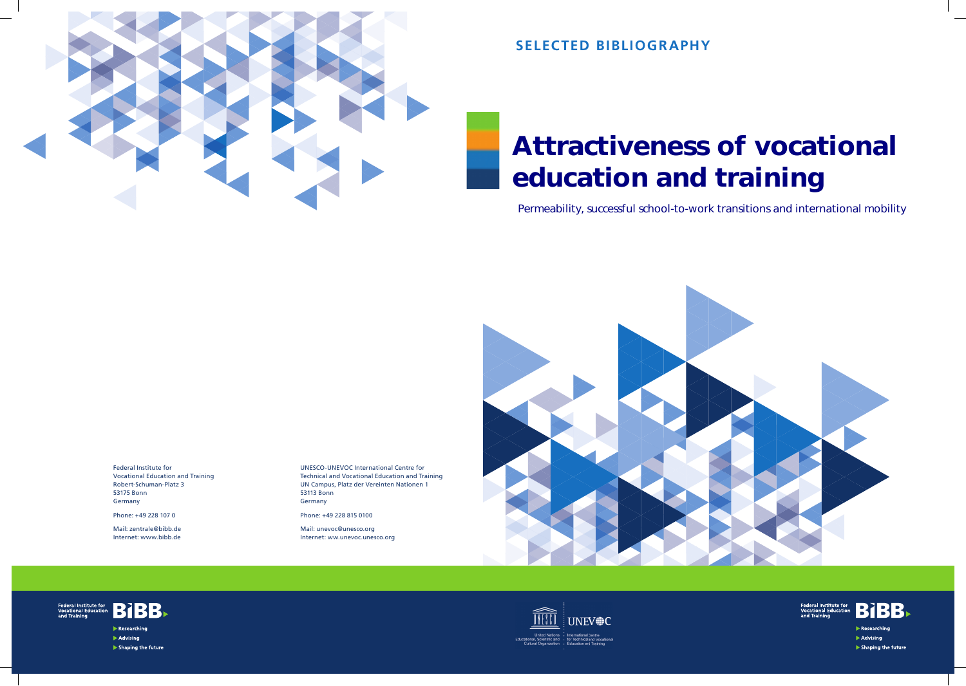# **SELECTED BIBLIOGRAPHY**

# **Attractiveness of vocational education and training**

Permeability, successful school-to-work transitions and international mobility





Federal Institute for<br>Vocational Education<br>and Training



 $\blacktriangleright$  Researching

 $\blacktriangleright$  Advising

Shaping the future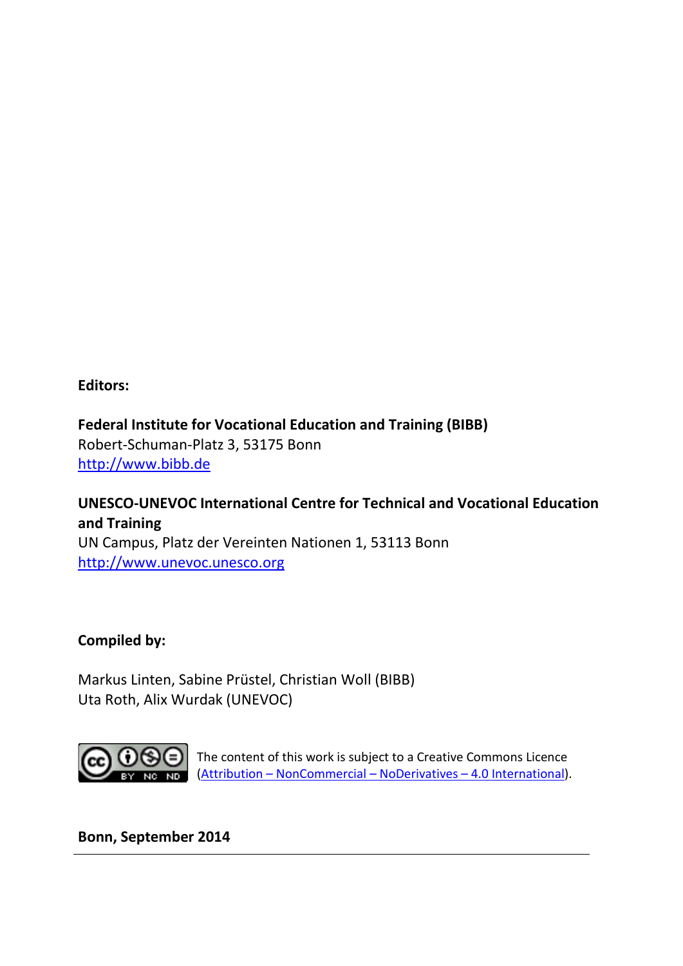**Editors:** 

**Federal Institute for Vocational Education and Training (BIBB)** Robert-Schuman-Platz 3, 53175 Bonn [http://www.bibb.de](http://www.bibb.de/)

**UNESCO-UNEVOC International Centre for Technical and Vocational Education and Training** UN Campus, Platz der Vereinten Nationen 1, 53113 Bonn [http://www.unevoc.unesco.org](http://www.unevoc.unesco.org/)

## **Compiled by:**

Markus Linten, Sabine Prüstel, Christian Woll (BIBB) Uta Roth, Alix Wurdak (UNEVOC)



The content of this work is subject to a Creative Commons Licence (Attribution – [NonCommercial –](https://creativecommons.org/licenses/by-nc-nd/4.0/) NoDerivatives – 4.0 International).

**Bonn, September 2014**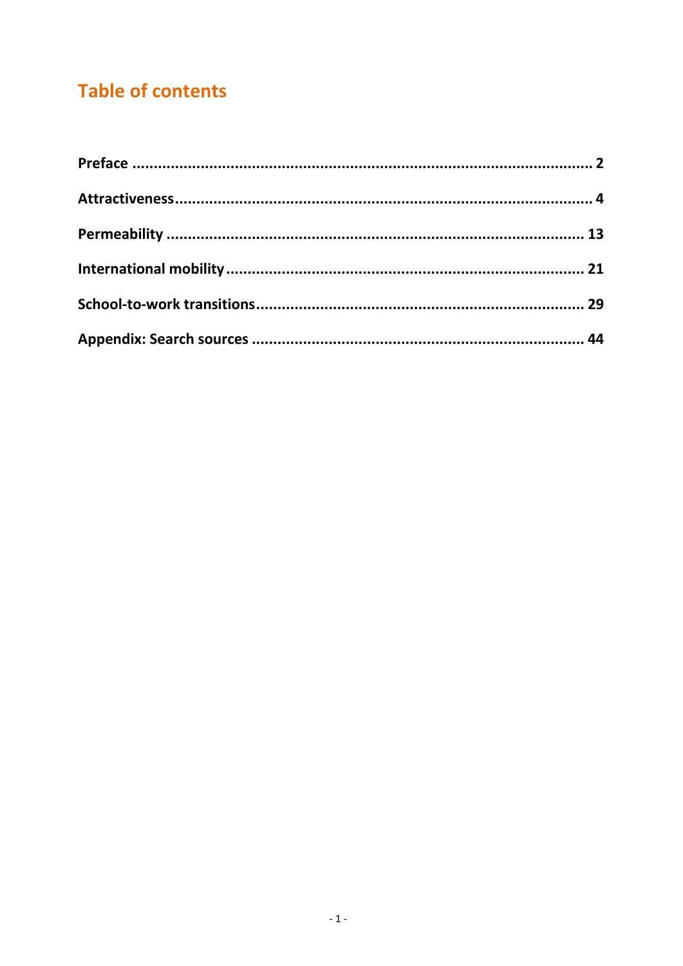# **Table of contents**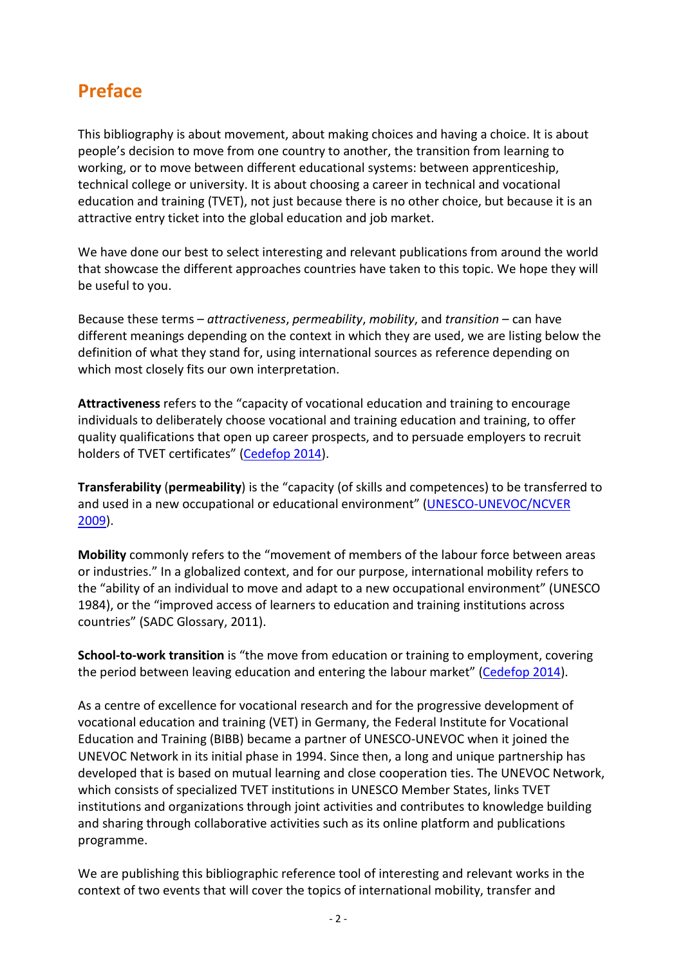# <span id="page-3-0"></span>**Preface**

This bibliography is about movement, about making choices and having a choice. It is about people's decision to move from one country to another, the transition from learning to working, or to move between different educational systems: between apprenticeship, technical college or university. It is about choosing a career in technical and vocational education and training (TVET), not just because there is no other choice, but because it is an attractive entry ticket into the global education and job market.

We have done our best to select interesting and relevant publications from around the world that showcase the different approaches countries have taken to this topic. We hope they will be useful to you.

Because these terms – *attractiveness*, *permeability*, *mobility*, and *transition* – can have different meanings depending on the context in which they are used, we are listing below the definition of what they stand for, using international sources as reference depending on which most closely fits our own interpretation.

**Attractiveness** refers to the "capacity of vocational education and training to encourage individuals to deliberately choose vocational and training education and training, to offer quality qualifications that open up career prospects, and to persuade employers to recruit holders of TVET certificates" [\(Cedefop 2014\)](http://www.cedefop.europa.eu/EN/Files/4117_en.pdf).

**Transferability** (**permeability**) is the "capacity (of skills and competences) to be transferred to and used in a new occupational or educational environment" (UNESCO-UNEVOC/NCVER [2009\)](http://www.unevoc.unesco.org/go.php?q=UNEVOC+Publications&lang=en&akt=id&st=&qs=5484&unevoc=1).

**Mobility** commonly refers to the "movement of members of the labour force between areas or industries." In a globalized context, and for our purpose, international mobility refers to the "ability of an individual to move and adapt to a new occupational environment" (UNESCO 1984), or the "improved access of learners to education and training institutions across countries" (SADC Glossary, 2011).

**School-to-work transition** is "the move from education or training to employment, covering the period between leaving education and entering the labour market" [\(Cedefop 2014\)](http://www.cedefop.europa.eu/EN/Files/4117_en.pdf).

As a centre of excellence for vocational research and for the progressive development of vocational education and training (VET) in Germany, the Federal Institute for Vocational Education and Training (BIBB) became a partner of UNESCO-UNEVOC when it joined the UNEVOC Network in its initial phase in 1994. Since then, a long and unique partnership has developed that is based on mutual learning and close cooperation ties. The UNEVOC Network, which consists of specialized TVET institutions in UNESCO Member States, links TVET institutions and organizations through joint activities and contributes to knowledge building and sharing through collaborative activities such as its online platform and publications programme.

We are publishing this bibliographic reference tool of interesting and relevant works in the context of two events that will cover the topics of international mobility, transfer and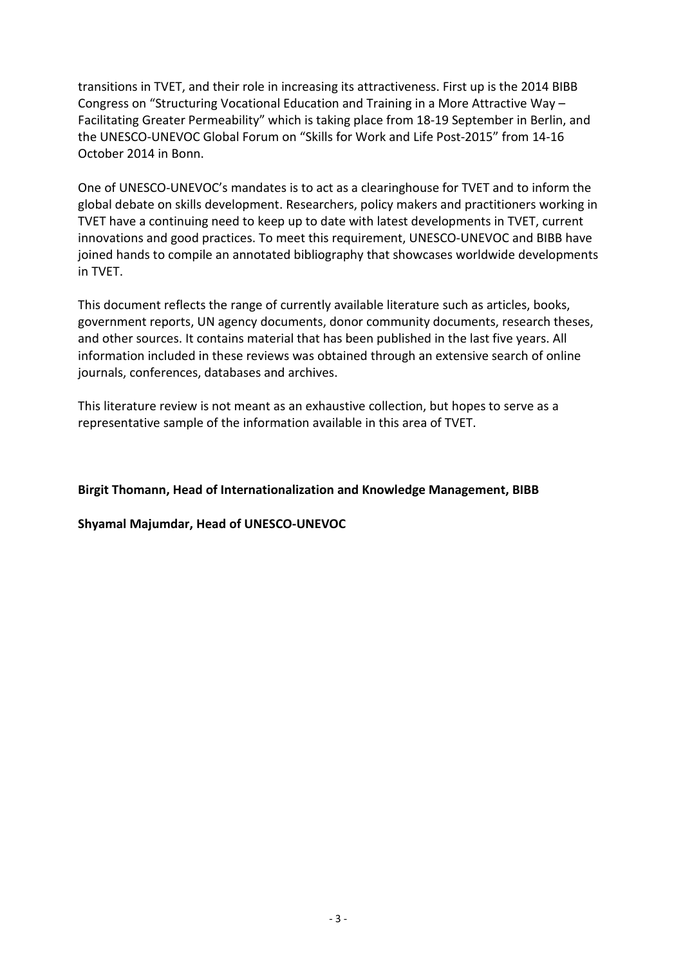transitions in TVET, and their role in increasing its attractiveness. First up is the 2014 BIBB Congress on "Structuring Vocational Education and Training in a More Attractive Way – Facilitating Greater Permeability" which is taking place from 18-19 September in Berlin, and the UNESCO-UNEVOC Global Forum on "Skills for Work and Life Post-2015" from 14-16 October 2014 in Bonn.

One of UNESCO-UNEVOC's mandates is to act as a clearinghouse for TVET and to inform the global debate on skills development. Researchers, policy makers and practitioners working in TVET have a continuing need to keep up to date with latest developments in TVET, current innovations and good practices. To meet this requirement, UNESCO-UNEVOC and BIBB have joined hands to compile an annotated bibliography that showcases worldwide developments in TVET.

This document reflects the range of currently available literature such as articles, books, government reports, UN agency documents, donor community documents, research theses, and other sources. It contains material that has been published in the last five years. All information included in these reviews was obtained through an extensive search of online journals, conferences, databases and archives.

This literature review is not meant as an exhaustive collection, but hopes to serve as a representative sample of the information available in this area of TVET.

**Birgit Thomann, Head of Internationalization and Knowledge Management, BIBB**

**Shyamal Majumdar, Head of UNESCO-UNEVOC**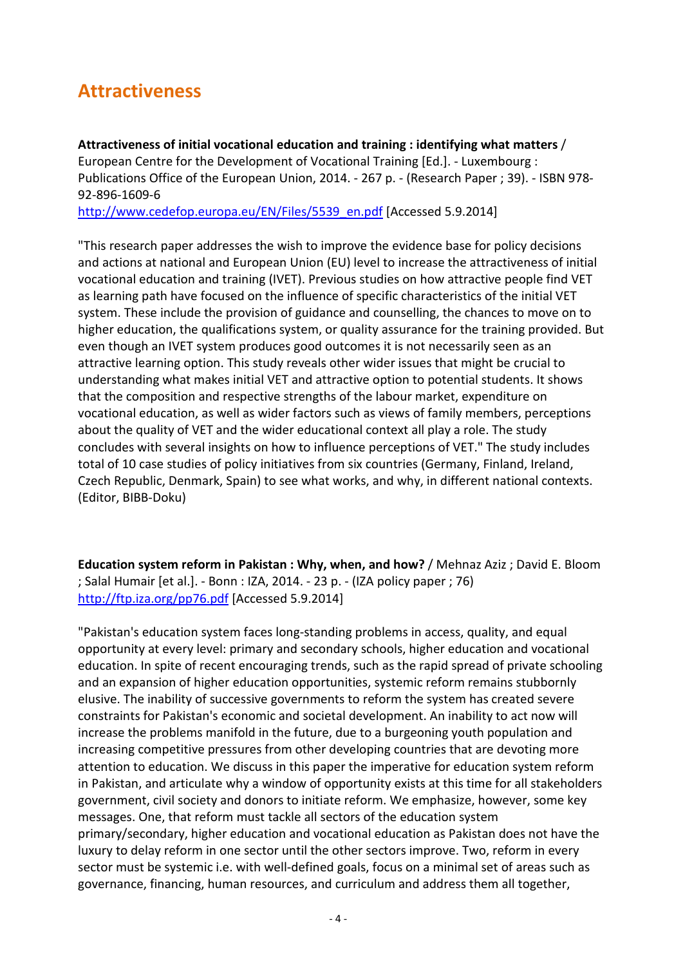# <span id="page-5-0"></span>**Attractiveness**

**Attractiveness of initial vocational education and training : identifying what matters** / European Centre for the Development of Vocational Training [Ed.]. - Luxembourg : Publications Office of the European Union, 2014. - 267 p. - (Research Paper ; 39). - ISBN 978- 92-896-1609-6

[http://www.cedefop.europa.eu/EN/Files/5539\\_en.pdf](http://www.cedefop.europa.eu/EN/Files/5539_en.pdf) [Accessed 5.9.2014]

"This research paper addresses the wish to improve the evidence base for policy decisions and actions at national and European Union (EU) level to increase the attractiveness of initial vocational education and training (IVET). Previous studies on how attractive people find VET as learning path have focused on the influence of specific characteristics of the initial VET system. These include the provision of guidance and counselling, the chances to move on to higher education, the qualifications system, or quality assurance for the training provided. But even though an IVET system produces good outcomes it is not necessarily seen as an attractive learning option. This study reveals other wider issues that might be crucial to understanding what makes initial VET and attractive option to potential students. It shows that the composition and respective strengths of the labour market, expenditure on vocational education, as well as wider factors such as views of family members, perceptions about the quality of VET and the wider educational context all play a role. The study concludes with several insights on how to influence perceptions of VET." The study includes total of 10 case studies of policy initiatives from six countries (Germany, Finland, Ireland, Czech Republic, Denmark, Spain) to see what works, and why, in different national contexts. (Editor, BIBB-Doku)

**Education system reform in Pakistan : Why, when, and how?** / Mehnaz Aziz ; David E. Bloom ; Salal Humair [et al.]. - Bonn : IZA, 2014. - 23 p. - (IZA policy paper ; 76) <http://ftp.iza.org/pp76.pdf> [Accessed 5.9.2014]

"Pakistan's education system faces long-standing problems in access, quality, and equal opportunity at every level: primary and secondary schools, higher education and vocational education. In spite of recent encouraging trends, such as the rapid spread of private schooling and an expansion of higher education opportunities, systemic reform remains stubbornly elusive. The inability of successive governments to reform the system has created severe constraints for Pakistan's economic and societal development. An inability to act now will increase the problems manifold in the future, due to a burgeoning youth population and increasing competitive pressures from other developing countries that are devoting more attention to education. We discuss in this paper the imperative for education system reform in Pakistan, and articulate why a window of opportunity exists at this time for all stakeholders government, civil society and donors to initiate reform. We emphasize, however, some key messages. One, that reform must tackle all sectors of the education system primary/secondary, higher education and vocational education as Pakistan does not have the luxury to delay reform in one sector until the other sectors improve. Two, reform in every sector must be systemic i.e. with well-defined goals, focus on a minimal set of areas such as governance, financing, human resources, and curriculum and address them all together,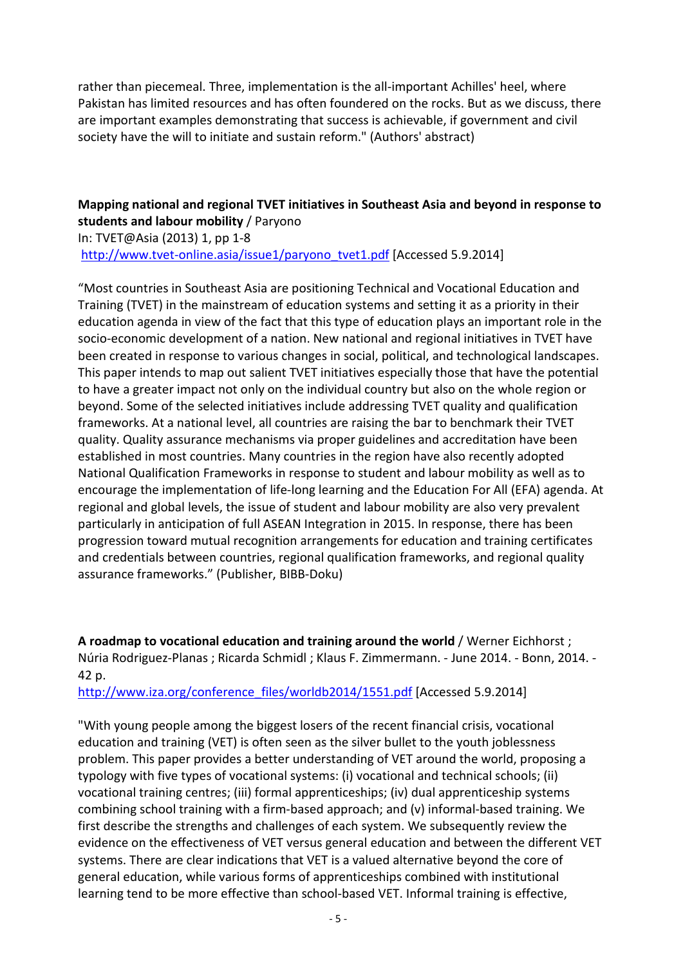rather than piecemeal. Three, implementation is the all-important Achilles' heel, where Pakistan has limited resources and has often foundered on the rocks. But as we discuss, there are important examples demonstrating that success is achievable, if government and civil society have the will to initiate and sustain reform." (Authors' abstract)

**Mapping national and regional TVET initiatives in Southeast Asia and beyond in response to students and labour mobility** / Paryono

In: TVET@Asia (2013) 1, pp 1-8 [http://www.tvet-online.asia/issue1/paryono\\_tvet1.pdf](http://www.tvet-online.asia/issue1/paryono_tvet1.pdf) [Accessed 5.9.2014]

"Most countries in Southeast Asia are positioning Technical and Vocational Education and Training (TVET) in the mainstream of education systems and setting it as a priority in their education agenda in view of the fact that this type of education plays an important role in the socio-economic development of a nation. New national and regional initiatives in TVET have been created in response to various changes in social, political, and technological landscapes. This paper intends to map out salient TVET initiatives especially those that have the potential to have a greater impact not only on the individual country but also on the whole region or beyond. Some of the selected initiatives include addressing TVET quality and qualification frameworks. At a national level, all countries are raising the bar to benchmark their TVET quality. Quality assurance mechanisms via proper guidelines and accreditation have been established in most countries. Many countries in the region have also recently adopted National Qualification Frameworks in response to student and labour mobility as well as to encourage the implementation of life-long learning and the Education For All (EFA) agenda. At regional and global levels, the issue of student and labour mobility are also very prevalent particularly in anticipation of full ASEAN Integration in 2015. In response, there has been progression toward mutual recognition arrangements for education and training certificates and credentials between countries, regional qualification frameworks, and regional quality assurance frameworks." (Publisher, BIBB-Doku)

**A roadmap to vocational education and training around the world** / Werner Eichhorst ; Núria Rodriguez-Planas ; Ricarda Schmidl ; Klaus F. Zimmermann. - June 2014. - Bonn, 2014. - 42 p.

[http://www.iza.org/conference\\_files/worldb2014/1551.pdf](http://www.iza.org/conference_files/worldb2014/1551.pdf) [Accessed 5.9.2014]

"With young people among the biggest losers of the recent financial crisis, vocational education and training (VET) is often seen as the silver bullet to the youth joblessness problem. This paper provides a better understanding of VET around the world, proposing a typology with five types of vocational systems: (i) vocational and technical schools; (ii) vocational training centres; (iii) formal apprenticeships; (iv) dual apprenticeship systems combining school training with a firm-based approach; and (v) informal-based training. We first describe the strengths and challenges of each system. We subsequently review the evidence on the effectiveness of VET versus general education and between the different VET systems. There are clear indications that VET is a valued alternative beyond the core of general education, while various forms of apprenticeships combined with institutional learning tend to be more effective than school-based VET. Informal training is effective,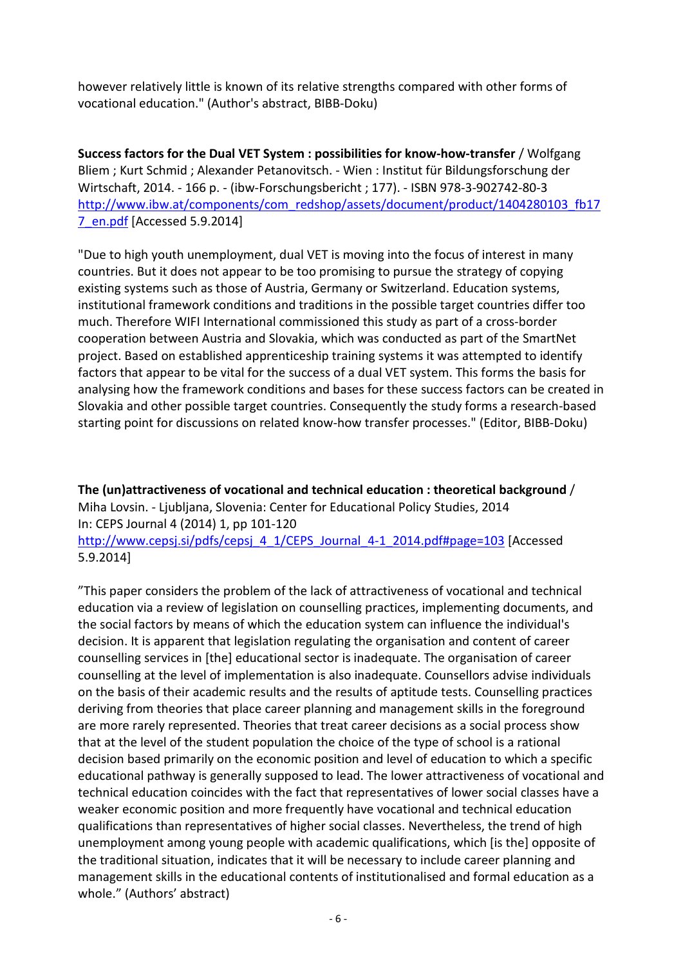however relatively little is known of its relative strengths compared with other forms of vocational education." (Author's abstract, BIBB-Doku)

**Success factors for the Dual VET System : possibilities for know-how-transfer** / Wolfgang Bliem ; Kurt Schmid ; Alexander Petanovitsch. - Wien : Institut für Bildungsforschung der Wirtschaft, 2014. - 166 p. - (ibw-Forschungsbericht ; 177). - ISBN 978-3-902742-80-3 [http://www.ibw.at/components/com\\_redshop/assets/document/product/1404280103\\_fb17](http://www.ibw.at/components/com_redshop/assets/document/product/1404280103_fb177_en.pdf) [7\\_en.pdf](http://www.ibw.at/components/com_redshop/assets/document/product/1404280103_fb177_en.pdf) [Accessed 5.9.2014]

"Due to high youth unemployment, dual VET is moving into the focus of interest in many countries. But it does not appear to be too promising to pursue the strategy of copying existing systems such as those of Austria, Germany or Switzerland. Education systems, institutional framework conditions and traditions in the possible target countries differ too much. Therefore WIFI International commissioned this study as part of a cross-border cooperation between Austria and Slovakia, which was conducted as part of the SmartNet project. Based on established apprenticeship training systems it was attempted to identify factors that appear to be vital for the success of a dual VET system. This forms the basis for analysing how the framework conditions and bases for these success factors can be created in Slovakia and other possible target countries. Consequently the study forms a research-based starting point for discussions on related know-how transfer processes." (Editor, BIBB-Doku)

**The (un)attractiveness of vocational and technical education : theoretical background** / Miha Lovsin. - Ljubljana, Slovenia: Center for Educational Policy Studies, 2014 In: CEPS Journal 4 (2014) 1, pp 101-120 [http://www.cepsj.si/pdfs/cepsj\\_4\\_1/CEPS\\_Journal\\_4-1\\_2014.pdf#page=103](http://www.cepsj.si/pdfs/cepsj_4_1/CEPS_Journal_4-1_2014.pdf#page=103) [Accessed 5.9.2014]

"This paper considers the problem of the lack of attractiveness of vocational and technical education via a review of legislation on counselling practices, implementing documents, and the social factors by means of which the education system can influence the individual's decision. It is apparent that legislation regulating the organisation and content of career counselling services in [the] educational sector is inadequate. The organisation of career counselling at the level of implementation is also inadequate. Counsellors advise individuals on the basis of their academic results and the results of aptitude tests. Counselling practices deriving from theories that place career planning and management skills in the foreground are more rarely represented. Theories that treat career decisions as a social process show that at the level of the student population the choice of the type of school is a rational decision based primarily on the economic position and level of education to which a specific educational pathway is generally supposed to lead. The lower attractiveness of vocational and technical education coincides with the fact that representatives of lower social classes have a weaker economic position and more frequently have vocational and technical education qualifications than representatives of higher social classes. Nevertheless, the trend of high unemployment among young people with academic qualifications, which [is the] opposite of the traditional situation, indicates that it will be necessary to include career planning and management skills in the educational contents of institutionalised and formal education as a whole." (Authors' abstract)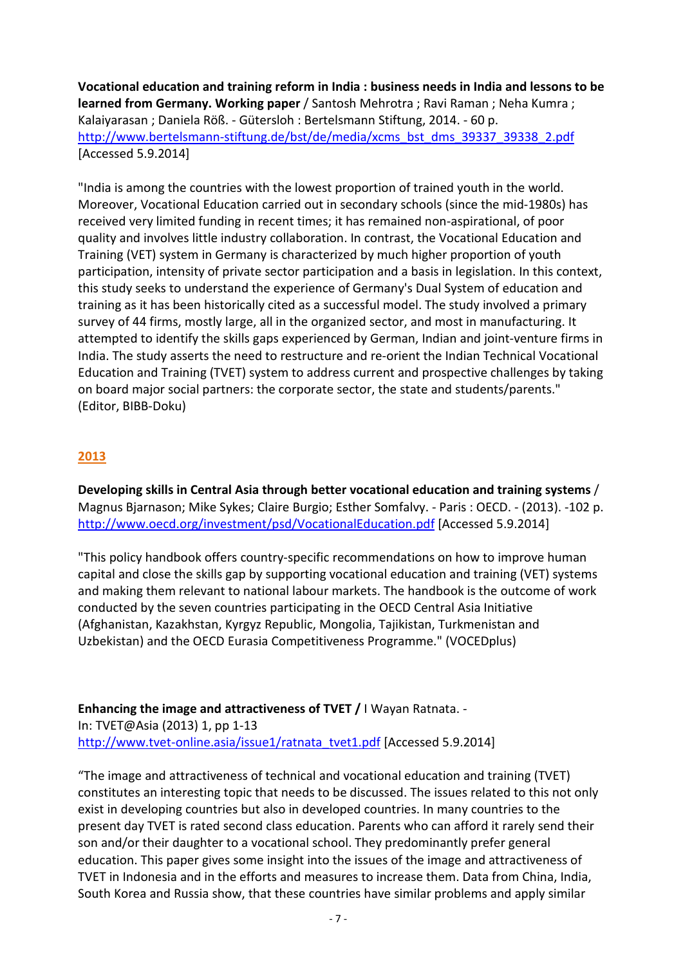**Vocational education and training reform in India : business needs in India and lessons to be learned from Germany. Working paper** / Santosh Mehrotra ; Ravi Raman ; Neha Kumra ; Kalaiyarasan ; Daniela Röß. - Gütersloh : Bertelsmann Stiftung, 2014. - 60 p. [http://www.bertelsmann-stiftung.de/bst/de/media/xcms\\_bst\\_dms\\_39337\\_39338\\_2.pdf](http://www.bertelsmann-stiftung.de/bst/de/media/xcms_bst_dms_39337_39338_2.pdf) [Accessed 5.9.2014]

"India is among the countries with the lowest proportion of trained youth in the world. Moreover, Vocational Education carried out in secondary schools (since the mid-1980s) has received very limited funding in recent times; it has remained non-aspirational, of poor quality and involves little industry collaboration. In contrast, the Vocational Education and Training (VET) system in Germany is characterized by much higher proportion of youth participation, intensity of private sector participation and a basis in legislation. In this context, this study seeks to understand the experience of Germany's Dual System of education and training as it has been historically cited as a successful model. The study involved a primary survey of 44 firms, mostly large, all in the organized sector, and most in manufacturing. It attempted to identify the skills gaps experienced by German, Indian and joint-venture firms in India. The study asserts the need to restructure and re-orient the Indian Technical Vocational Education and Training (TVET) system to address current and prospective challenges by taking on board major social partners: the corporate sector, the state and students/parents." (Editor, BIBB-Doku)

#### **2013**

**Developing skills in Central Asia through better vocational education and training systems** / Magnus Bjarnason; Mike Sykes; Claire Burgio; Esther Somfalvy. - Paris : OECD. - (2013). -102 p. <http://www.oecd.org/investment/psd/VocationalEducation.pdf> [Accessed 5.9.2014]

"This policy handbook offers country-specific recommendations on how to improve human capital and close the skills gap by supporting vocational education and training (VET) systems and making them relevant to national labour markets. The handbook is the outcome of work conducted by the seven countries participating in the OECD Central Asia Initiative (Afghanistan, Kazakhstan, Kyrgyz Republic, Mongolia, Tajikistan, Turkmenistan and Uzbekistan) and the OECD Eurasia Competitiveness Programme." (VOCEDplus)

**Enhancing the image and attractiveness of TVET /** I Wayan Ratnata. - In: TVET@Asia (2013) 1, pp 1-13 [http://www.tvet-online.asia/issue1/ratnata\\_tvet1.pdf](http://www.tvet-online.asia/issue1/ratnata_tvet1.pdf) [Accessed 5.9.2014]

"The image and attractiveness of technical and vocational education and training (TVET) constitutes an interesting topic that needs to be discussed. The issues related to this not only exist in developing countries but also in developed countries. In many countries to the present day TVET is rated second class education. Parents who can afford it rarely send their son and/or their daughter to a vocational school. They predominantly prefer general education. This paper gives some insight into the issues of the image and attractiveness of TVET in Indonesia and in the efforts and measures to increase them. Data from China, India, South Korea and Russia show, that these countries have similar problems and apply similar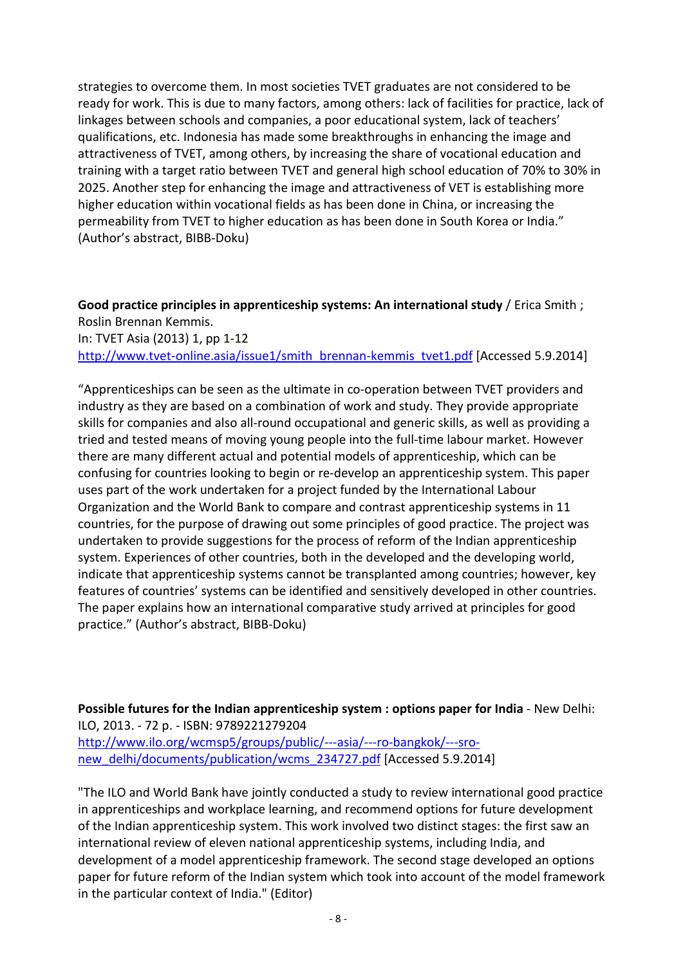strategies to overcome them. In most societies TVET graduates are not considered to be ready for work. This is due to many factors, among others: lack of facilities for practice, lack of linkages between schools and companies, a poor educational system, lack of teachers' qualifications, etc. Indonesia has made some breakthroughs in enhancing the image and attractiveness of TVET, among others, by increasing the share of vocational education and training with a target ratio between TVET and general high school education of 70% to 30% in 2025. Another step for enhancing the image and attractiveness of VET is establishing more higher education within vocational fields as has been done in China, or increasing the permeability from TVET to higher education as has been done in South Korea or India." (Author's abstract, BIBB-Doku)

**Good practice principles in apprenticeship systems: An international study** / Erica Smith ; Roslin Brennan Kemmis. In: TVET Asia (2013) 1, pp 1-12 [http://www.tvet-online.asia/issue1/smith\\_brennan-kemmis\\_tvet1.pdf](http://www.tvet-online.asia/issue1/smith_brennan-kemmis_tvet1.pdf) [Accessed 5.9.2014]

"Apprenticeships can be seen as the ultimate in co-operation between TVET providers and industry as they are based on a combination of work and study. They provide appropriate skills for companies and also all-round occupational and generic skills, as well as providing a tried and tested means of moving young people into the full-time labour market. However there are many different actual and potential models of apprenticeship, which can be confusing for countries looking to begin or re-develop an apprenticeship system. This paper uses part of the work undertaken for a project funded by the International Labour Organization and the World Bank to compare and contrast apprenticeship systems in 11 countries, for the purpose of drawing out some principles of good practice. The project was undertaken to provide suggestions for the process of reform of the Indian apprenticeship system. Experiences of other countries, both in the developed and the developing world, indicate that apprenticeship systems cannot be transplanted among countries; however, key features of countries' systems can be identified and sensitively developed in other countries. The paper explains how an international comparative study arrived at principles for good practice." (Author's abstract, BIBB-Doku)

**Possible futures for the Indian apprenticeship system : options paper for India** - New Delhi: ILO, 2013. - 72 p. - ISBN: 9789221279204 [http://www.ilo.org/wcmsp5/groups/public/---asia/---ro-bangkok/---sro](http://www.ilo.org/wcmsp5/groups/public/---asia/---ro-bangkok/---sro-new_delhi/documents/publication/wcms_234727.pdf)[new\\_delhi/documents/publication/wcms\\_234727.pdf](http://www.ilo.org/wcmsp5/groups/public/---asia/---ro-bangkok/---sro-new_delhi/documents/publication/wcms_234727.pdf) [Accessed 5.9.2014]

"The ILO and World Bank have jointly conducted a study to review international good practice in apprenticeships and workplace learning, and recommend options for future development of the Indian apprenticeship system. This work involved two distinct stages: the first saw an international review of eleven national apprenticeship systems, including India, and development of a model apprenticeship framework. The second stage developed an options paper for future reform of the Indian system which took into account of the model framework in the particular context of India." (Editor)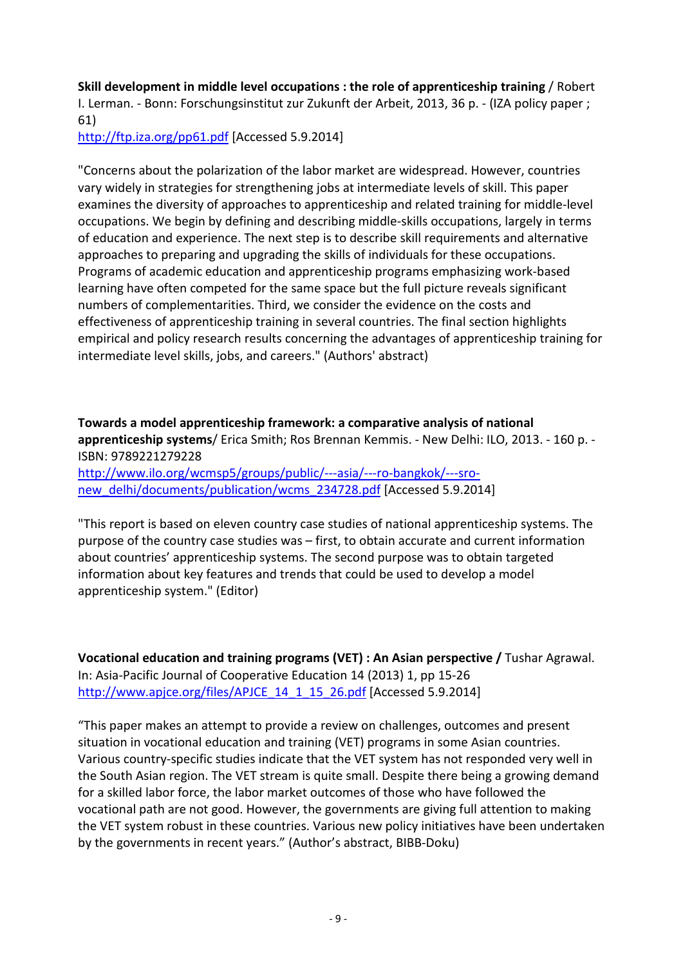**Skill development in middle level occupations : the role of apprenticeship training** / Robert I. Lerman. - Bonn: Forschungsinstitut zur Zukunft der Arbeit, 2013, 36 p. - (IZA policy paper ;

61)

<http://ftp.iza.org/pp61.pdf> [Accessed 5.9.2014]

"Concerns about the polarization of the labor market are widespread. However, countries vary widely in strategies for strengthening jobs at intermediate levels of skill. This paper examines the diversity of approaches to apprenticeship and related training for middle-level occupations. We begin by defining and describing middle-skills occupations, largely in terms of education and experience. The next step is to describe skill requirements and alternative approaches to preparing and upgrading the skills of individuals for these occupations. Programs of academic education and apprenticeship programs emphasizing work-based learning have often competed for the same space but the full picture reveals significant numbers of complementarities. Third, we consider the evidence on the costs and effectiveness of apprenticeship training in several countries. The final section highlights empirical and policy research results concerning the advantages of apprenticeship training for intermediate level skills, jobs, and careers." (Authors' abstract)

**Towards a model apprenticeship framework: a comparative analysis of national apprenticeship systems**/ Erica Smith; Ros Brennan Kemmis. - New Delhi: ILO, 2013. - 160 p. - ISBN: 9789221279228 [http://www.ilo.org/wcmsp5/groups/public/---asia/---ro-bangkok/---sro](http://www.ilo.org/wcmsp5/groups/public/---asia/---ro-bangkok/---sro-new_delhi/documents/publication/wcms_234728.pdf)[new\\_delhi/documents/publication/wcms\\_234728.pdf](http://www.ilo.org/wcmsp5/groups/public/---asia/---ro-bangkok/---sro-new_delhi/documents/publication/wcms_234728.pdf) [Accessed 5.9.2014]

"This report is based on eleven country case studies of national apprenticeship systems. The purpose of the country case studies was – first, to obtain accurate and current information about countries' apprenticeship systems. The second purpose was to obtain targeted information about key features and trends that could be used to develop a model apprenticeship system." (Editor)

**Vocational education and training programs (VET) : An Asian perspective /** Tushar Agrawal. In: Asia-Pacific Journal of Cooperative Education 14 (2013) 1, pp 15-26 [http://www.apjce.org/files/APJCE\\_14\\_1\\_15\\_26.pdf](http://www.apjce.org/files/APJCE_14_1_15_26.pdf) [Accessed 5.9.2014]

"This paper makes an attempt to provide a review on challenges, outcomes and present situation in vocational education and training (VET) programs in some Asian countries. Various country-specific studies indicate that the VET system has not responded very well in the South Asian region. The VET stream is quite small. Despite there being a growing demand for a skilled labor force, the labor market outcomes of those who have followed the vocational path are not good. However, the governments are giving full attention to making the VET system robust in these countries. Various new policy initiatives have been undertaken by the governments in recent years." (Author's abstract, BIBB-Doku)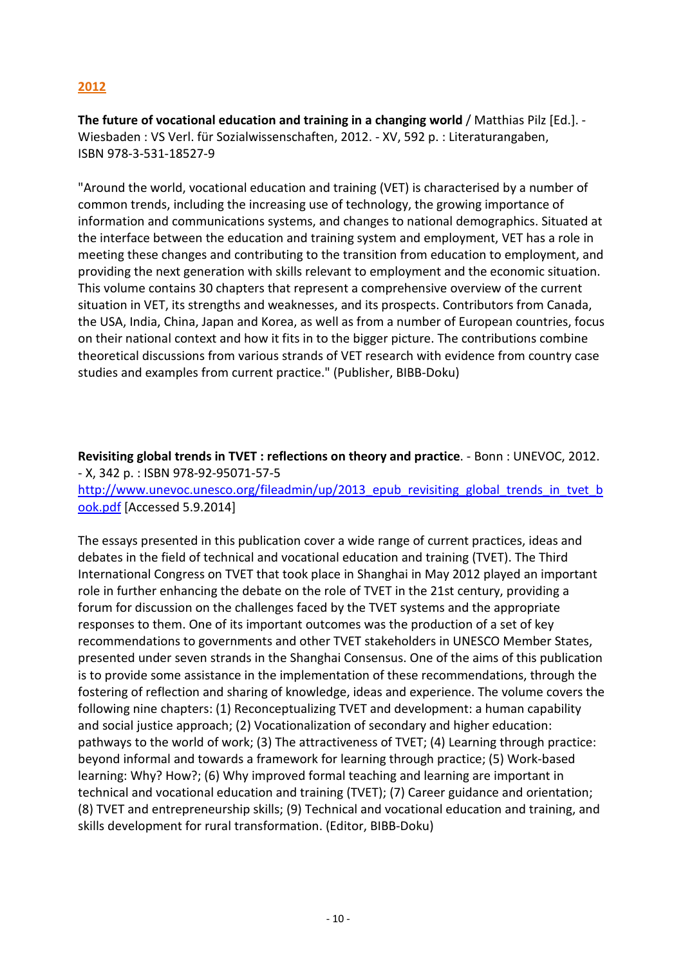#### **2012**

**The future of vocational education and training in a changing world** / Matthias Pilz [Ed.]. - Wiesbaden : VS Verl. für Sozialwissenschaften, 2012. - XV, 592 p. : Literaturangaben, ISBN 978-3-531-18527-9

"Around the world, vocational education and training (VET) is characterised by a number of common trends, including the increasing use of technology, the growing importance of information and communications systems, and changes to national demographics. Situated at the interface between the education and training system and employment, VET has a role in meeting these changes and contributing to the transition from education to employment, and providing the next generation with skills relevant to employment and the economic situation. This volume contains 30 chapters that represent a comprehensive overview of the current situation in VET, its strengths and weaknesses, and its prospects. Contributors from Canada, the USA, India, China, Japan and Korea, as well as from a number of European countries, focus on their national context and how it fits in to the bigger picture. The contributions combine theoretical discussions from various strands of VET research with evidence from country case studies and examples from current practice." (Publisher, BIBB-Doku)

**Revisiting global trends in TVET : reflections on theory and practice**. - Bonn : UNEVOC, 2012. - X, 342 p. : ISBN 978-92-95071-57-5 [http://www.unevoc.unesco.org/fileadmin/up/2013\\_epub\\_revisiting\\_global\\_trends\\_in\\_tvet\\_b](http://www.unevoc.unesco.org/fileadmin/up/2013_epub_revisiting_global_trends_in_tvet_book.pdf) [ook.pdf](http://www.unevoc.unesco.org/fileadmin/up/2013_epub_revisiting_global_trends_in_tvet_book.pdf) [Accessed 5.9.2014]

The essays presented in this publication cover a wide range of current practices, ideas and debates in the field of technical and vocational education and training (TVET). The Third International Congress on TVET that took place in Shanghai in May 2012 played an important role in further enhancing the debate on the role of TVET in the 21st century, providing a forum for discussion on the challenges faced by the TVET systems and the appropriate responses to them. One of its important outcomes was the production of a set of key recommendations to governments and other TVET stakeholders in UNESCO Member States, presented under seven strands in the Shanghai Consensus. One of the aims of this publication is to provide some assistance in the implementation of these recommendations, through the fostering of reflection and sharing of knowledge, ideas and experience. The volume covers the following nine chapters: (1) Reconceptualizing TVET and development: a human capability and social justice approach; (2) Vocationalization of secondary and higher education: pathways to the world of work; (3) The attractiveness of TVET; (4) Learning through practice: beyond informal and towards a framework for learning through practice; (5) Work-based learning: Why? How?; (6) Why improved formal teaching and learning are important in technical and vocational education and training (TVET); (7) Career guidance and orientation; (8) TVET and entrepreneurship skills; (9) Technical and vocational education and training, and skills development for rural transformation. (Editor, BIBB-Doku)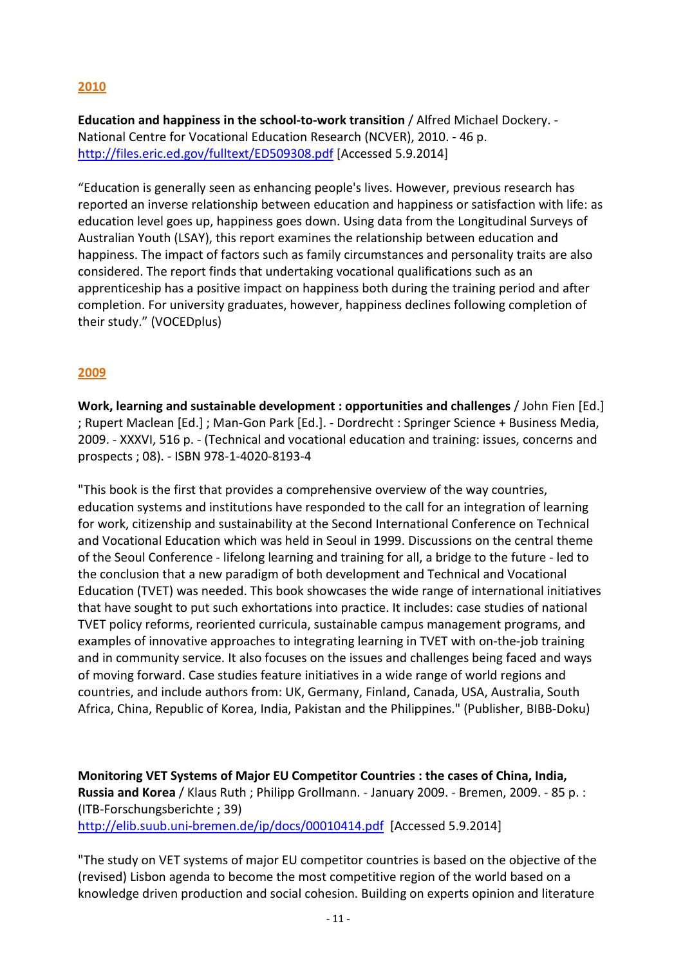#### **2010**

**Education and happiness in the school-to-work transition** / Alfred Michael Dockery. - National Centre for Vocational Education Research (NCVER), 2010. - 46 p. <http://files.eric.ed.gov/fulltext/ED509308.pdf> [Accessed 5.9.2014]

"Education is generally seen as enhancing people's lives. However, previous research has reported an inverse relationship between education and happiness or satisfaction with life: as education level goes up, happiness goes down. Using data from the Longitudinal Surveys of Australian Youth (LSAY), this report examines the relationship between education and happiness. The impact of factors such as family circumstances and personality traits are also considered. The report finds that undertaking vocational qualifications such as an apprenticeship has a positive impact on happiness both during the training period and after completion. For university graduates, however, happiness declines following completion of their study." (VOCEDplus)

#### **2009**

**Work, learning and sustainable development : opportunities and challenges** / John Fien [Ed.] ; Rupert Maclean [Ed.] ; Man-Gon Park [Ed.]. - Dordrecht : Springer Science + Business Media, 2009. - XXXVI, 516 p. - (Technical and vocational education and training: issues, concerns and prospects ; 08). - ISBN 978-1-4020-8193-4

"This book is the first that provides a comprehensive overview of the way countries, education systems and institutions have responded to the call for an integration of learning for work, citizenship and sustainability at the Second International Conference on Technical and Vocational Education which was held in Seoul in 1999. Discussions on the central theme of the Seoul Conference - lifelong learning and training for all, a bridge to the future - led to the conclusion that a new paradigm of both development and Technical and Vocational Education (TVET) was needed. This book showcases the wide range of international initiatives that have sought to put such exhortations into practice. It includes: case studies of national TVET policy reforms, reoriented curricula, sustainable campus management programs, and examples of innovative approaches to integrating learning in TVET with on-the-job training and in community service. It also focuses on the issues and challenges being faced and ways of moving forward. Case studies feature initiatives in a wide range of world regions and countries, and include authors from: UK, Germany, Finland, Canada, USA, Australia, South Africa, China, Republic of Korea, India, Pakistan and the Philippines." (Publisher, BIBB-Doku)

**Monitoring VET Systems of Major EU Competitor Countries : the cases of China, India, Russia and Korea** / Klaus Ruth ; Philipp Grollmann. - January 2009. - Bremen, 2009. - 85 p. : (ITB-Forschungsberichte ; 39) <http://elib.suub.uni-bremen.de/ip/docs/00010414.pdf>[Accessed 5.9.2014]

"The study on VET systems of major EU competitor countries is based on the objective of the (revised) Lisbon agenda to become the most competitive region of the world based on a knowledge driven production and social cohesion. Building on experts opinion and literature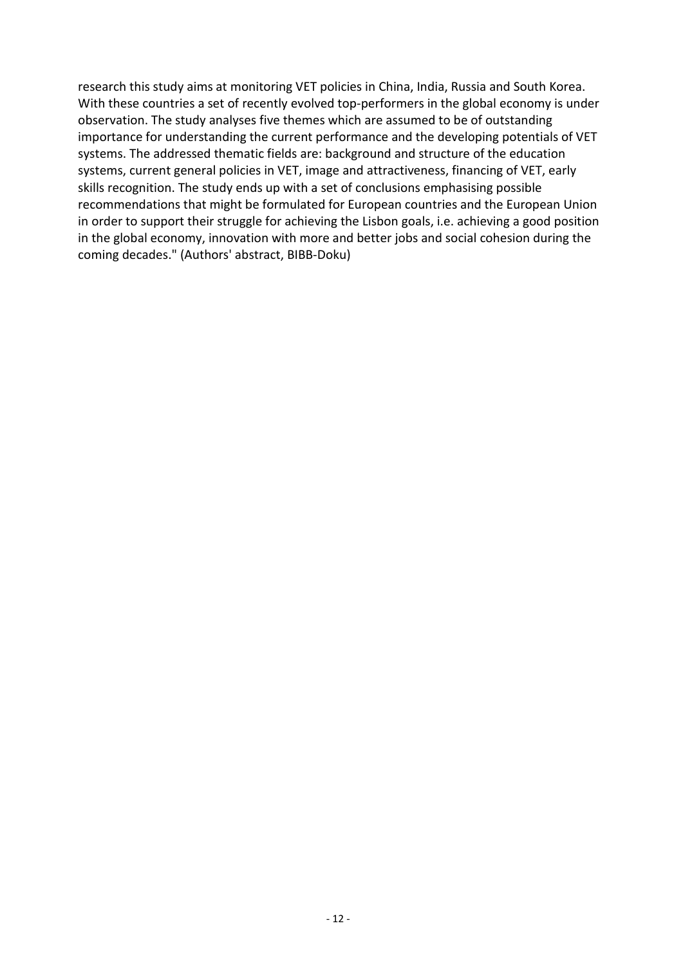research this study aims at monitoring VET policies in China, India, Russia and South Korea. With these countries a set of recently evolved top-performers in the global economy is under observation. The study analyses five themes which are assumed to be of outstanding importance for understanding the current performance and the developing potentials of VET systems. The addressed thematic fields are: background and structure of the education systems, current general policies in VET, image and attractiveness, financing of VET, early skills recognition. The study ends up with a set of conclusions emphasising possible recommendations that might be formulated for European countries and the European Union in order to support their struggle for achieving the Lisbon goals, i.e. achieving a good position in the global economy, innovation with more and better jobs and social cohesion during the coming decades." (Authors' abstract, BIBB-Doku)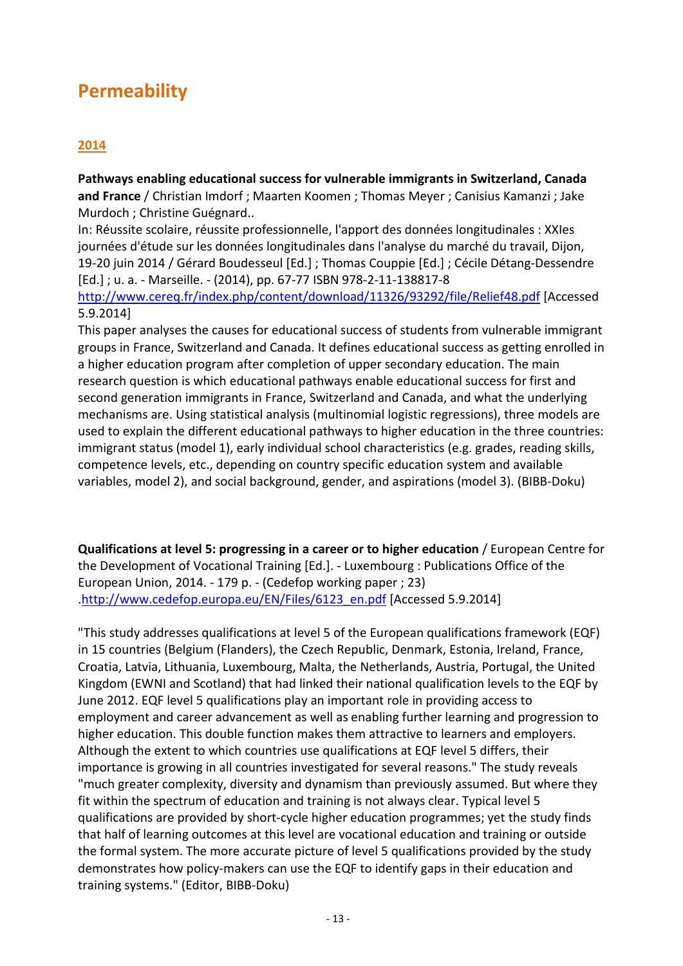# <span id="page-14-0"></span>**Permeability**

#### **2014**

**Pathways enabling educational success for vulnerable immigrants in Switzerland, Canada and France** / Christian Imdorf ; Maarten Koomen ; Thomas Meyer ; Canisius Kamanzi ; Jake Murdoch ; Christine Guégnard..

In: Réussite scolaire, réussite professionnelle, l'apport des données longitudinales : XXIes journées d'étude sur les données longitudinales dans l'analyse du marché du travail, Dijon, 19-20 juin 2014 / Gérard Boudesseul [Ed.] ; Thomas Couppie [Ed.] ; Cécile Détang-Dessendre [Ed.] ; u. a. - Marseille. - (2014), pp. 67-77 ISBN 978-2-11-138817-8

<http://www.cereq.fr/index.php/content/download/11326/93292/file/Relief48.pdf> [Accessed 5.9.2014]

This paper analyses the causes for educational success of students from vulnerable immigrant groups in France, Switzerland and Canada. It defines educational success as getting enrolled in a higher education program after completion of upper secondary education. The main research question is which educational pathways enable educational success for first and second generation immigrants in France, Switzerland and Canada, and what the underlying mechanisms are. Using statistical analysis (multinomial logistic regressions), three models are used to explain the different educational pathways to higher education in the three countries: immigrant status (model 1), early individual school characteristics (e.g. grades, reading skills, competence levels, etc., depending on country specific education system and available variables, model 2), and social background, gender, and aspirations (model 3). (BIBB-Doku)

**Qualifications at level 5: progressing in a career or to higher education** / European Centre for the Development of Vocational Training [Ed.]. - Luxembourg : Publications Office of the European Union, 2014. - 179 p. - (Cedefop working paper ; 23) [.http://www.cedefop.europa.eu/EN/Files/6123\\_en.pdf](http://www.cedefop.europa.eu/EN/Files/6123_en.pdf) [Accessed 5.9.2014]

"This study addresses qualifications at level 5 of the European qualifications framework (EQF) in 15 countries (Belgium (Flanders), the Czech Republic, Denmark, Estonia, Ireland, France, Croatia, Latvia, Lithuania, Luxembourg, Malta, the Netherlands, Austria, Portugal, the United Kingdom (EWNI and Scotland) that had linked their national qualification levels to the EQF by June 2012. EQF level 5 qualifications play an important role in providing access to employment and career advancement as well as enabling further learning and progression to higher education. This double function makes them attractive to learners and employers. Although the extent to which countries use qualifications at EQF level 5 differs, their importance is growing in all countries investigated for several reasons." The study reveals "much greater complexity, diversity and dynamism than previously assumed. But where they fit within the spectrum of education and training is not always clear. Typical level 5 qualifications are provided by short-cycle higher education programmes; yet the study finds that half of learning outcomes at this level are vocational education and training or outside the formal system. The more accurate picture of level 5 qualifications provided by the study demonstrates how policy-makers can use the EQF to identify gaps in their education and training systems." (Editor, BIBB-Doku)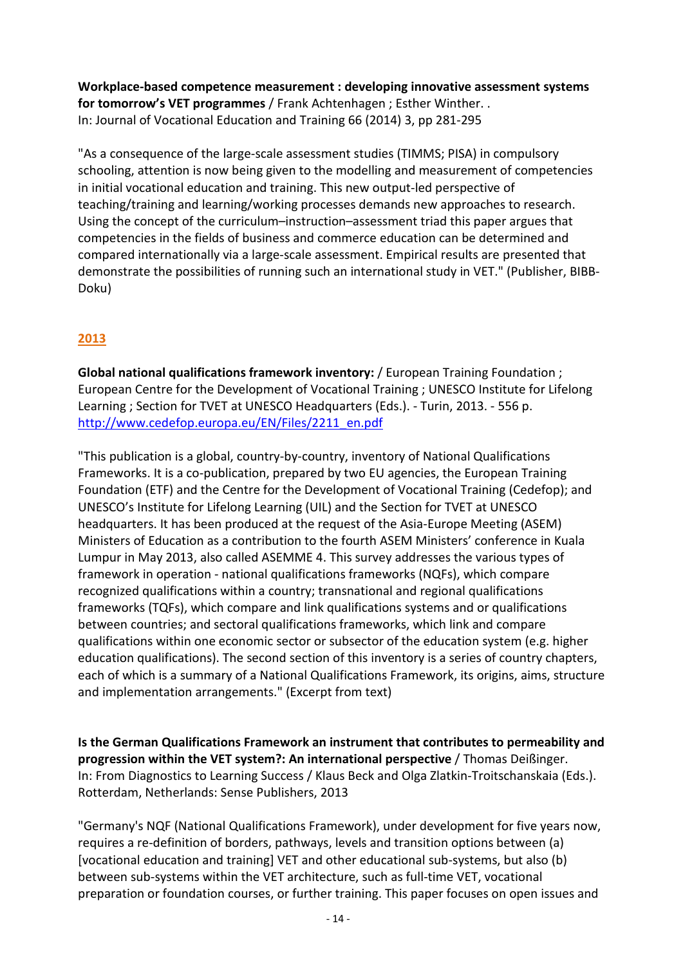**Workplace-based competence measurement : developing innovative assessment systems for tomorrow's VET programmes** / Frank Achtenhagen ; Esther Winther. . In: Journal of Vocational Education and Training 66 (2014) 3, pp 281-295

"As a consequence of the large-scale assessment studies (TIMMS; PISA) in compulsory schooling, attention is now being given to the modelling and measurement of competencies in initial vocational education and training. This new output-led perspective of teaching/training and learning/working processes demands new approaches to research. Using the concept of the curriculum–instruction–assessment triad this paper argues that competencies in the fields of business and commerce education can be determined and compared internationally via a large-scale assessment. Empirical results are presented that demonstrate the possibilities of running such an international study in VET." (Publisher, BIBB-Doku)

## **2013**

**Global national qualifications framework inventory:** / European Training Foundation ; European Centre for the Development of Vocational Training ; UNESCO Institute for Lifelong Learning ; Section for TVET at UNESCO Headquarters (Eds.). - Turin, 2013. - 556 p. [http://www.cedefop.europa.eu/EN/Files/2211\\_en.pdf](http://www.cedefop.europa.eu/EN/Files/2211_en.pdf)

"This publication is a global, country-by-country, inventory of National Qualifications Frameworks. It is a co-publication, prepared by two EU agencies, the European Training Foundation (ETF) and the Centre for the Development of Vocational Training (Cedefop); and UNESCO's Institute for Lifelong Learning (UIL) and the Section for TVET at UNESCO headquarters. It has been produced at the request of the Asia-Europe Meeting (ASEM) Ministers of Education as a contribution to the fourth ASEM Ministers' conference in Kuala Lumpur in May 2013, also called ASEMME 4. This survey addresses the various types of framework in operation - national qualifications frameworks (NQFs), which compare recognized qualifications within a country; transnational and regional qualifications frameworks (TQFs), which compare and link qualifications systems and or qualifications between countries; and sectoral qualifications frameworks, which link and compare qualifications within one economic sector or subsector of the education system (e.g. higher education qualifications). The second section of this inventory is a series of country chapters, each of which is a summary of a National Qualifications Framework, its origins, aims, structure and implementation arrangements." (Excerpt from text)

**Is the German Qualifications Framework an instrument that contributes to permeability and progression within the VET system?: An international perspective** / Thomas Deißinger. In: From Diagnostics to Learning Success / Klaus Beck and Olga Zlatkin-Troitschanskaia (Eds.). Rotterdam, Netherlands: Sense Publishers, 2013

"Germany's NQF (National Qualifications Framework), under development for five years now, requires a re-definition of borders, pathways, levels and transition options between (a) [vocational education and training] VET and other educational sub-systems, but also (b) between sub-systems within the VET architecture, such as full-time VET, vocational preparation or foundation courses, or further training. This paper focuses on open issues and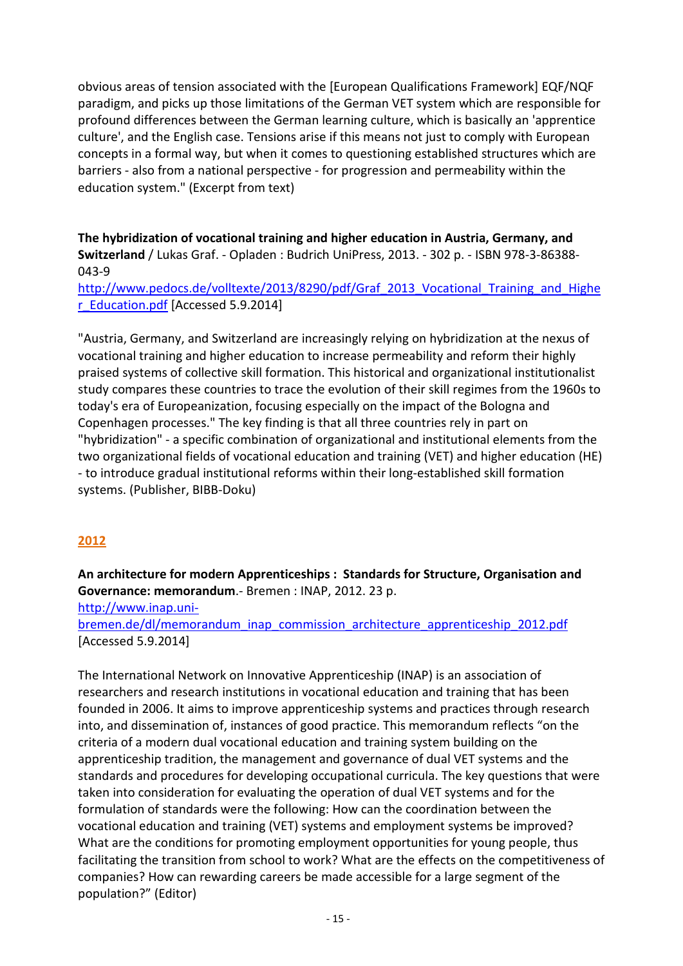obvious areas of tension associated with the [European Qualifications Framework] EQF/NQF paradigm, and picks up those limitations of the German VET system which are responsible for profound differences between the German learning culture, which is basically an 'apprentice culture', and the English case. Tensions arise if this means not just to comply with European concepts in a formal way, but when it comes to questioning established structures which are barriers - also from a national perspective - for progression and permeability within the education system." (Excerpt from text)

**The hybridization of vocational training and higher education in Austria, Germany, and Switzerland** / Lukas Graf. - Opladen : Budrich UniPress, 2013. - 302 p. - ISBN 978-3-86388- 043-9

[http://www.pedocs.de/volltexte/2013/8290/pdf/Graf\\_2013\\_Vocational\\_Training\\_and\\_Highe](http://www.pedocs.de/volltexte/2013/8290/pdf/Graf_2013_Vocational_Training_and_Higher_Education.pdf) [r\\_Education.pdf](http://www.pedocs.de/volltexte/2013/8290/pdf/Graf_2013_Vocational_Training_and_Higher_Education.pdf) [Accessed 5.9.2014]

"Austria, Germany, and Switzerland are increasingly relying on hybridization at the nexus of vocational training and higher education to increase permeability and reform their highly praised systems of collective skill formation. This historical and organizational institutionalist study compares these countries to trace the evolution of their skill regimes from the 1960s to today's era of Europeanization, focusing especially on the impact of the Bologna and Copenhagen processes." The key finding is that all three countries rely in part on "hybridization" - a specific combination of organizational and institutional elements from the two organizational fields of vocational education and training (VET) and higher education (HE) - to introduce gradual institutional reforms within their long-established skill formation systems. (Publisher, BIBB-Doku)

#### **2012**

**An architecture for modern Apprenticeships : Standards for Structure, Organisation and Governance: memorandum**.- Bremen : INAP, 2012. 23 p.

[http://www.inap.uni](javascript:open_window(%22http://libserver.cedefop.europa.eu:80/F/SUTITSG5GVBD3DQN9SHRRK424SX6JQRYSTUB9LBC8FB4GFGMKQ-11854?func=service&doc_library=CED01&doc_number=000082919&line_number=0001&func_code=WEB-FULL&service_type=MEDIA%22);)[bremen.de/dl/memorandum\\_inap\\_commission\\_architecture\\_apprenticeship\\_2012.pdf](javascript:open_window(%22http://libserver.cedefop.europa.eu:80/F/SUTITSG5GVBD3DQN9SHRRK424SX6JQRYSTUB9LBC8FB4GFGMKQ-11854?func=service&doc_library=CED01&doc_number=000082919&line_number=0001&func_code=WEB-FULL&service_type=MEDIA%22);) [Accessed 5.9.2014]

The International Network on Innovative Apprenticeship (INAP) is an association of researchers and research institutions in vocational education and training that has been founded in 2006. It aims to improve apprenticeship systems and practices through research into, and dissemination of, instances of good practice. This memorandum reflects "on the criteria of a modern dual vocational education and training system building on the apprenticeship tradition, the management and governance of dual VET systems and the standards and procedures for developing occupational curricula. The key questions that were taken into consideration for evaluating the operation of dual VET systems and for the formulation of standards were the following: How can the coordination between the vocational education and training (VET) systems and employment systems be improved? What are the conditions for promoting employment opportunities for young people, thus facilitating the transition from school to work? What are the effects on the competitiveness of companies? How can rewarding careers be made accessible for a large segment of the population?" (Editor)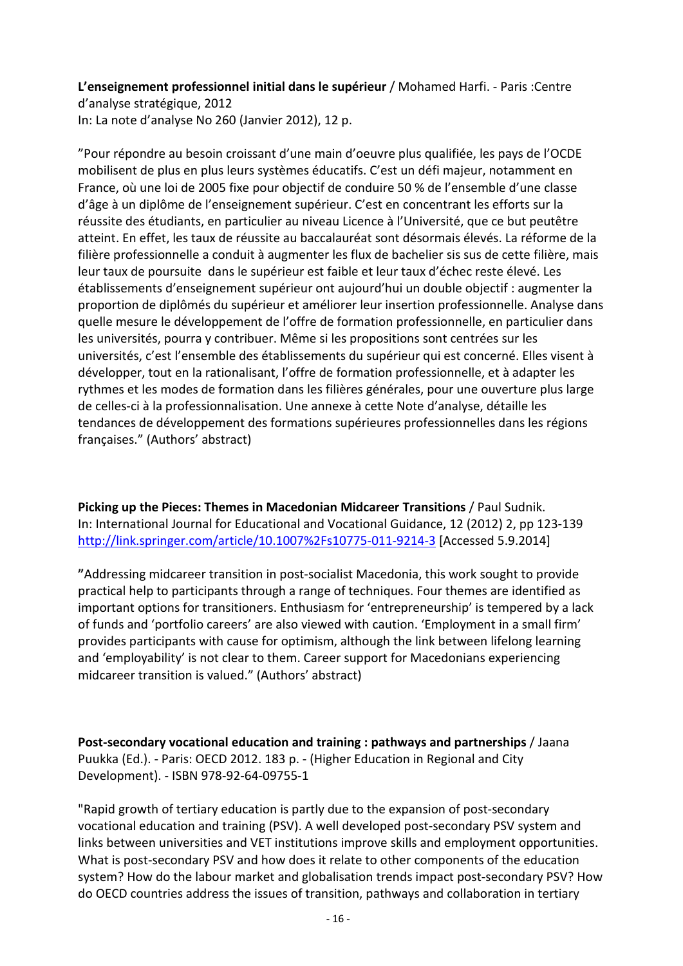## **L'enseignement professionnel initial dans le supérieur** / Mohamed Harfi. - Paris :Centre d'analyse stratégique, 2012

In: La note d'analyse No 260 (Janvier 2012), 12 p.

"Pour répondre au besoin croissant d'une main d'oeuvre plus qualifiée, les pays de l'OCDE mobilisent de plus en plus leurs systèmes éducatifs. C'est un défi majeur, notamment en France, où une loi de 2005 fixe pour objectif de conduire 50 % de l'ensemble d'une classe d'âge à un diplôme de l'enseignement supérieur. C'est en concentrant les efforts sur la réussite des étudiants, en particulier au niveau Licence à l'Université, que ce but peutêtre atteint. En effet, les taux de réussite au baccalauréat sont désormais élevés. La réforme de la filière professionnelle a conduit à augmenter les flux de bachelier sis sus de cette filière, mais leur taux de poursuite dans le supérieur est faible et leur taux d'échec reste élevé. Les établissements d'enseignement supérieur ont aujourd'hui un double objectif : augmenter la proportion de diplômés du supérieur et améliorer leur insertion professionnelle. Analyse dans quelle mesure le développement de l'offre de formation professionnelle, en particulier dans les universités, pourra y contribuer. Même si les propositions sont centrées sur les universités, c'est l'ensemble des établissements du supérieur qui est concerné. Elles visent à développer, tout en la rationalisant, l'offre de formation professionnelle, et à adapter les rythmes et les modes de formation dans les filières générales, pour une ouverture plus large de celles-ci à la professionnalisation. Une annexe à cette Note d'analyse, détaille les tendances de développement des formations supérieures professionnelles dans les régions françaises." (Authors' abstract)

**Picking up the Pieces: Themes in Macedonian Midcareer Transitions** / Paul Sudnik. In: International Journal for Educational and Vocational Guidance, 12 (2012) 2, pp 123-139 <http://link.springer.com/article/10.1007%2Fs10775-011-9214-3> [Accessed 5.9.2014]

**"**Addressing midcareer transition in post-socialist Macedonia, this work sought to provide practical help to participants through a range of techniques. Four themes are identified as important options for transitioners. Enthusiasm for 'entrepreneurship' is tempered by a lack of funds and 'portfolio careers' are also viewed with caution. 'Employment in a small firm' provides participants with cause for optimism, although the link between lifelong learning and 'employability' is not clear to them. Career support for Macedonians experiencing midcareer transition is valued." (Authors' abstract)

**Post-secondary vocational education and training : pathways and partnerships** / Jaana Puukka (Ed.). - Paris: OECD 2012. 183 p. - (Higher Education in Regional and City Development). - ISBN 978-92-64-09755-1

"Rapid growth of tertiary education is partly due to the expansion of post-secondary vocational education and training (PSV). A well developed post-secondary PSV system and links between universities and VET institutions improve skills and employment opportunities. What is post-secondary PSV and how does it relate to other components of the education system? How do the labour market and globalisation trends impact post-secondary PSV? How do OECD countries address the issues of transition, pathways and collaboration in tertiary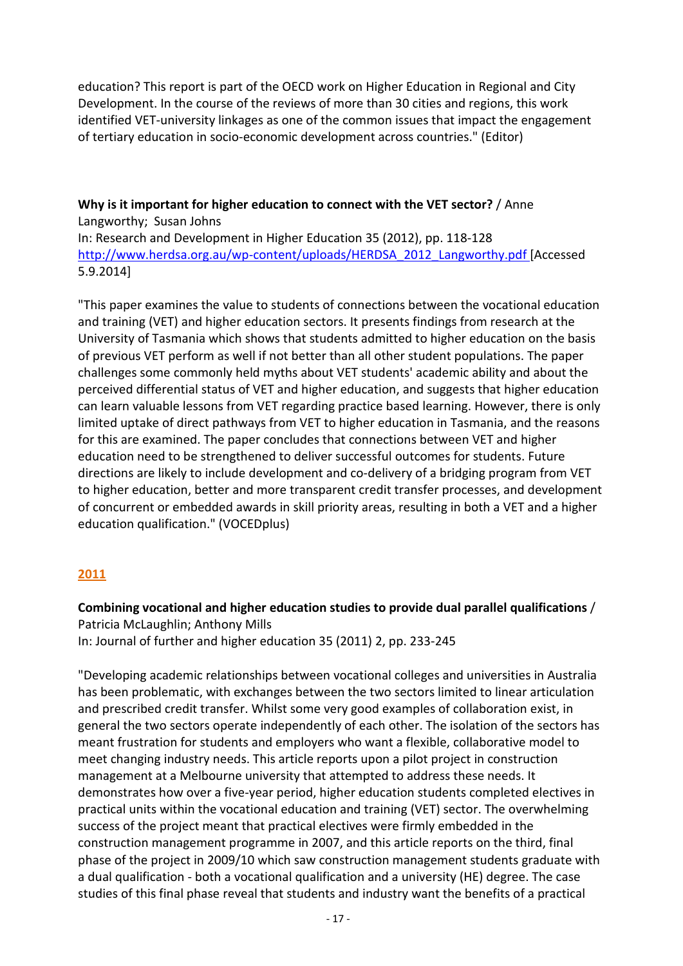education? This report is part of the OECD work on Higher Education in Regional and City Development. In the course of the reviews of more than 30 cities and regions, this work identified VET-university linkages as one of the common issues that impact the engagement of tertiary education in socio-economic development across countries." (Editor)

**Why is it important for higher education to connect with the VET sector?** / Anne Langworthy; Susan Johns In: Research and Development in Higher Education 35 (2012), pp. 118-128 [http://www.herdsa.org.au/wp-content/uploads/HERDSA\\_2012\\_Langworthy.pdf](http://www.herdsa.org.au/wp-content/uploads/HERDSA_2012_Langworthy.pdf) [Accessed 5.9.2014]

"This paper examines the value to students of connections between the vocational education and training (VET) and higher education sectors. It presents findings from research at the University of Tasmania which shows that students admitted to higher education on the basis of previous VET perform as well if not better than all other student populations. The paper challenges some commonly held myths about VET students' academic ability and about the perceived differential status of VET and higher education, and suggests that higher education can learn valuable lessons from VET regarding practice based learning. However, there is only limited uptake of direct pathways from VET to higher education in Tasmania, and the reasons for this are examined. The paper concludes that connections between VET and higher education need to be strengthened to deliver successful outcomes for students. Future directions are likely to include development and co-delivery of a bridging program from VET to higher education, better and more transparent credit transfer processes, and development of concurrent or embedded awards in skill priority areas, resulting in both a VET and a higher education qualification." (VOCEDplus)

#### **2011**

## **Combining vocational and higher education studies to provide dual parallel qualifications** / Patricia McLaughlin; Anthony Mills

In: Journal of further and higher education 35 (2011) 2, pp. 233-245

"Developing academic relationships between vocational colleges and universities in Australia has been problematic, with exchanges between the two sectors limited to linear articulation and prescribed credit transfer. Whilst some very good examples of collaboration exist, in general the two sectors operate independently of each other. The isolation of the sectors has meant frustration for students and employers who want a flexible, collaborative model to meet changing industry needs. This article reports upon a pilot project in construction management at a Melbourne university that attempted to address these needs. It demonstrates how over a five-year period, higher education students completed electives in practical units within the vocational education and training (VET) sector. The overwhelming success of the project meant that practical electives were firmly embedded in the construction management programme in 2007, and this article reports on the third, final phase of the project in 2009/10 which saw construction management students graduate with a dual qualification - both a vocational qualification and a university (HE) degree. The case studies of this final phase reveal that students and industry want the benefits of a practical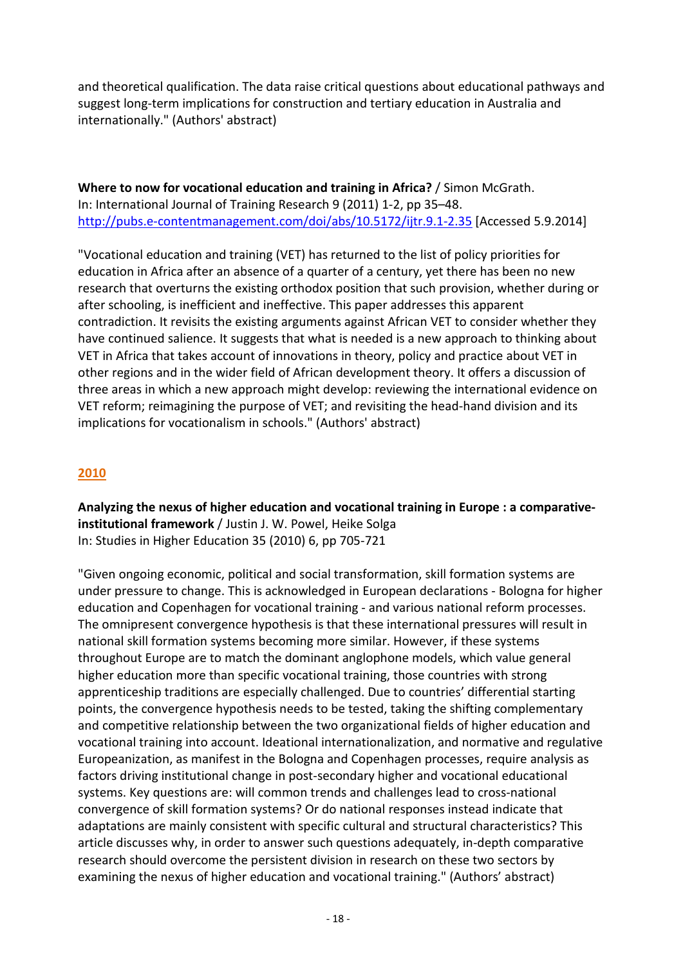and theoretical qualification. The data raise critical questions about educational pathways and suggest long-term implications for construction and tertiary education in Australia and internationally." (Authors' abstract)

**Where to now for vocational education and training in Africa?** / Simon McGrath. In: International Journal of Training Research 9 (2011) 1-2, pp 35–48. <http://pubs.e-contentmanagement.com/doi/abs/10.5172/ijtr.9.1-2.35> [Accessed 5.9.2014]

"Vocational education and training (VET) has returned to the list of policy priorities for education in Africa after an absence of a quarter of a century, yet there has been no new research that overturns the existing orthodox position that such provision, whether during or after schooling, is inefficient and ineffective. This paper addresses this apparent contradiction. It revisits the existing arguments against African VET to consider whether they have continued salience. It suggests that what is needed is a new approach to thinking about VET in Africa that takes account of innovations in theory, policy and practice about VET in other regions and in the wider field of African development theory. It offers a discussion of three areas in which a new approach might develop: reviewing the international evidence on VET reform; reimagining the purpose of VET; and revisiting the head-hand division and its implications for vocationalism in schools." (Authors' abstract)

#### **2010**

**Analyzing the nexus of higher education and vocational training in Europe : a comparativeinstitutional framework** / Justin J. W. Powel, Heike Solga In: Studies in Higher Education 35 (2010) 6, pp 705-721

"Given ongoing economic, political and social transformation, skill formation systems are under pressure to change. This is acknowledged in European declarations - Bologna for higher education and Copenhagen for vocational training - and various national reform processes. The omnipresent convergence hypothesis is that these international pressures will result in national skill formation systems becoming more similar. However, if these systems throughout Europe are to match the dominant anglophone models, which value general higher education more than specific vocational training, those countries with strong apprenticeship traditions are especially challenged. Due to countries' differential starting points, the convergence hypothesis needs to be tested, taking the shifting complementary and competitive relationship between the two organizational fields of higher education and vocational training into account. Ideational internationalization, and normative and regulative Europeanization, as manifest in the Bologna and Copenhagen processes, require analysis as factors driving institutional change in post-secondary higher and vocational educational systems. Key questions are: will common trends and challenges lead to cross-national convergence of skill formation systems? Or do national responses instead indicate that adaptations are mainly consistent with specific cultural and structural characteristics? This article discusses why, in order to answer such questions adequately, in-depth comparative research should overcome the persistent division in research on these two sectors by examining the nexus of higher education and vocational training." (Authors' abstract)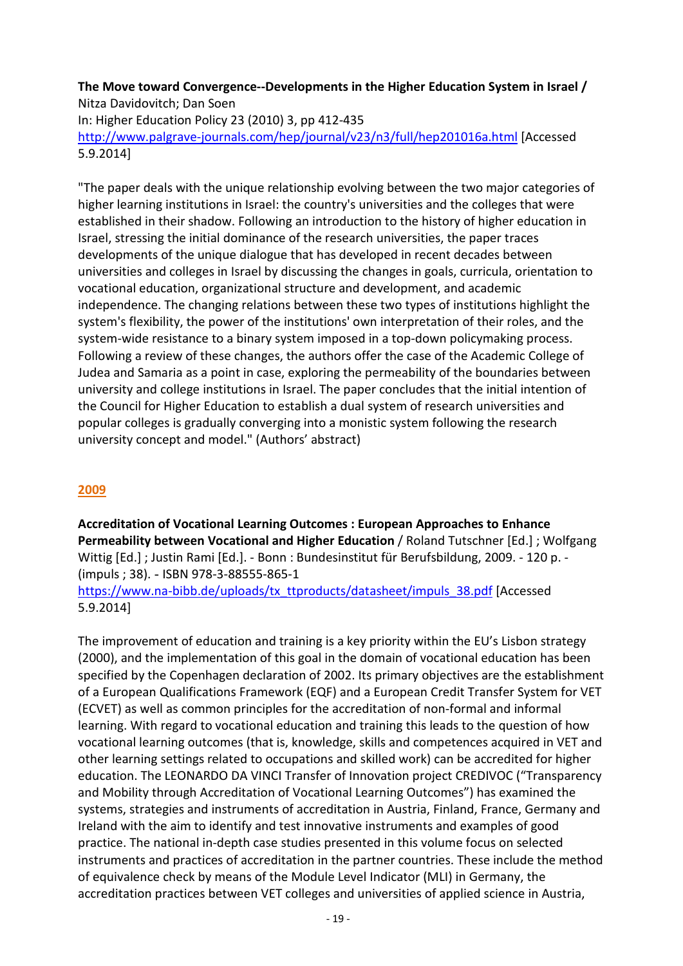**The Move toward Convergence--Developments in the Higher Education System in Israel /**  Nitza Davidovitch; Dan Soen In: Higher Education Policy 23 (2010) 3, pp 412-435 <http://www.palgrave-journals.com/hep/journal/v23/n3/full/hep201016a.html> [Accessed 5.9.2014]

"The paper deals with the unique relationship evolving between the two major categories of higher learning institutions in Israel: the country's universities and the colleges that were established in their shadow. Following an introduction to the history of higher education in Israel, stressing the initial dominance of the research universities, the paper traces developments of the unique dialogue that has developed in recent decades between universities and colleges in Israel by discussing the changes in goals, curricula, orientation to vocational education, organizational structure and development, and academic independence. The changing relations between these two types of institutions highlight the system's flexibility, the power of the institutions' own interpretation of their roles, and the system-wide resistance to a binary system imposed in a top-down policymaking process. Following a review of these changes, the authors offer the case of the Academic College of Judea and Samaria as a point in case, exploring the permeability of the boundaries between university and college institutions in Israel. The paper concludes that the initial intention of the Council for Higher Education to establish a dual system of research universities and popular colleges is gradually converging into a monistic system following the research university concept and model." (Authors' abstract)

#### **2009**

**Accreditation of Vocational Learning Outcomes : European Approaches to Enhance Permeability between Vocational and Higher Education** / Roland Tutschner [Ed.] ; Wolfgang Wittig [Ed.] ; Justin Rami [Ed.]. - Bonn : Bundesinstitut für Berufsbildung, 2009. - 120 p. - (impuls ; 38). - ISBN 978-3-88555-865-1

[https://www.na-bibb.de/uploads/tx\\_ttproducts/datasheet/impuls\\_38.pdf](https://www.na-bibb.de/uploads/tx_ttproducts/datasheet/impuls_38.pdf) [Accessed 5.9.2014]

The improvement of education and training is a key priority within the EU's Lisbon strategy (2000), and the implementation of this goal in the domain of vocational education has been specified by the Copenhagen declaration of 2002. Its primary objectives are the establishment of a European Qualifications Framework (EQF) and a European Credit Transfer System for VET (ECVET) as well as common principles for the accreditation of non-formal and informal learning. With regard to vocational education and training this leads to the question of how vocational learning outcomes (that is, knowledge, skills and competences acquired in VET and other learning settings related to occupations and skilled work) can be accredited for higher education. The LEONARDO DA VINCI Transfer of Innovation project CREDIVOC ("Transparency and Mobility through Accreditation of Vocational Learning Outcomes") has examined the systems, strategies and instruments of accreditation in Austria, Finland, France, Germany and Ireland with the aim to identify and test innovative instruments and examples of good practice. The national in-depth case studies presented in this volume focus on selected instruments and practices of accreditation in the partner countries. These include the method of equivalence check by means of the Module Level Indicator (MLI) in Germany, the accreditation practices between VET colleges and universities of applied science in Austria,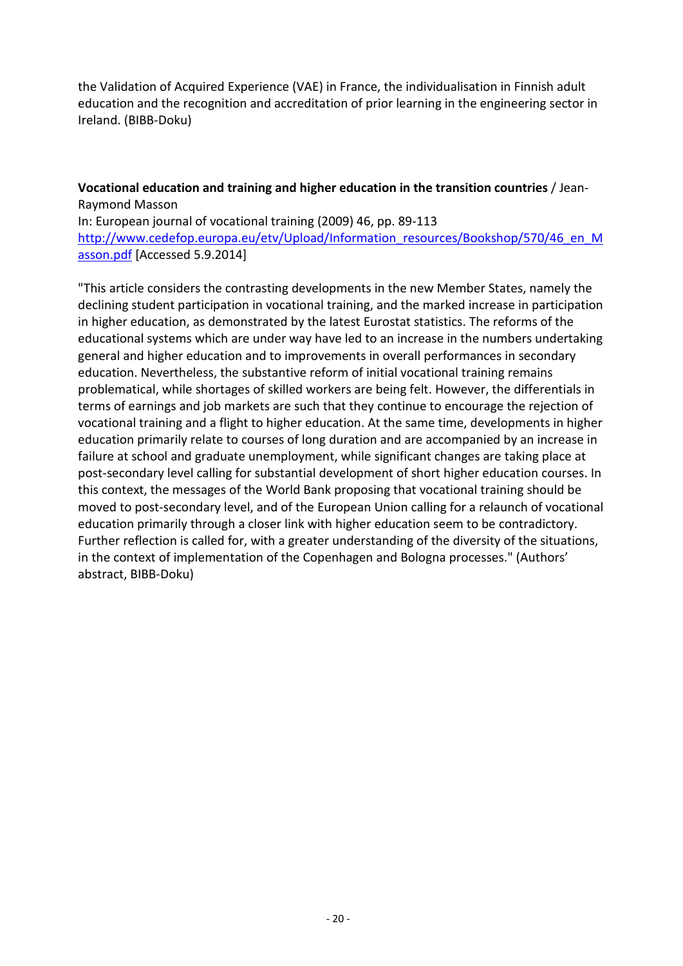the Validation of Acquired Experience (VAE) in France, the individualisation in Finnish adult education and the recognition and accreditation of prior learning in the engineering sector in Ireland. (BIBB-Doku)

**Vocational education and training and higher education in the transition countries** / Jean-Raymond Masson In: European journal of vocational training (2009) 46, pp. 89-113 [http://www.cedefop.europa.eu/etv/Upload/Information\\_resources/Bookshop/570/46\\_en\\_M](http://www.cedefop.europa.eu/etv/Upload/Information_resources/Bookshop/570/46_en_Masson.pdf) [asson.pdf](http://www.cedefop.europa.eu/etv/Upload/Information_resources/Bookshop/570/46_en_Masson.pdf) [Accessed 5.9.2014]

"This article considers the contrasting developments in the new Member States, namely the declining student participation in vocational training, and the marked increase in participation in higher education, as demonstrated by the latest Eurostat statistics. The reforms of the educational systems which are under way have led to an increase in the numbers undertaking general and higher education and to improvements in overall performances in secondary education. Nevertheless, the substantive reform of initial vocational training remains problematical, while shortages of skilled workers are being felt. However, the differentials in terms of earnings and job markets are such that they continue to encourage the rejection of vocational training and a flight to higher education. At the same time, developments in higher education primarily relate to courses of long duration and are accompanied by an increase in failure at school and graduate unemployment, while significant changes are taking place at post-secondary level calling for substantial development of short higher education courses. In this context, the messages of the World Bank proposing that vocational training should be moved to post-secondary level, and of the European Union calling for a relaunch of vocational education primarily through a closer link with higher education seem to be contradictory. Further reflection is called for, with a greater understanding of the diversity of the situations, in the context of implementation of the Copenhagen and Bologna processes." (Authors' abstract, BIBB-Doku)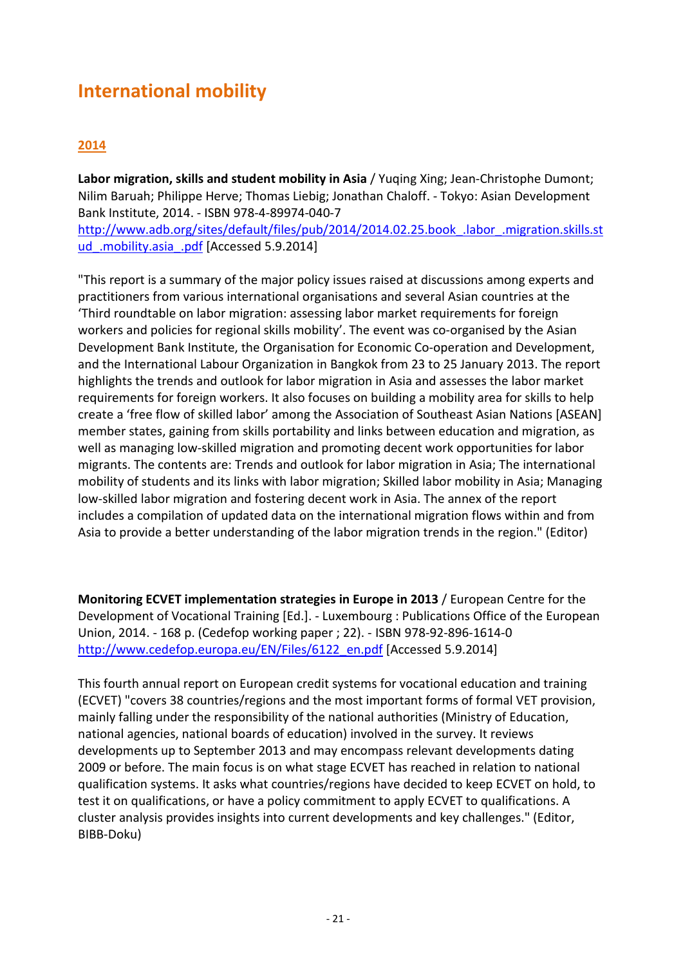# <span id="page-22-0"></span>**International mobility**

#### **2014**

**Labor migration, skills and student mobility in Asia** / Yuqing Xing; Jean-Christophe Dumont; Nilim Baruah; Philippe Herve; Thomas Liebig; Jonathan Chaloff. - Tokyo: Asian Development Bank Institute, 2014. - ISBN 978-4-89974-040-7 [http://www.adb.org/sites/default/files/pub/2014/2014.02.25.book\\_.labor\\_.migration.skills.st](http://www.adb.org/sites/default/files/pub/2014/2014.02.25.book_.labor_.migration.skills.stud_.mobility.asia_.pdf) ud .mobility.asia .pdf [Accessed 5.9.2014]

"This report is a summary of the major policy issues raised at discussions among experts and practitioners from various international organisations and several Asian countries at the 'Third roundtable on labor migration: assessing labor market requirements for foreign workers and policies for regional skills mobility'. The event was co-organised by the Asian Development Bank Institute, the Organisation for Economic Co-operation and Development, and the International Labour Organization in Bangkok from 23 to 25 January 2013. The report highlights the trends and outlook for labor migration in Asia and assesses the labor market requirements for foreign workers. It also focuses on building a mobility area for skills to help create a 'free flow of skilled labor' among the Association of Southeast Asian Nations [ASEAN] member states, gaining from skills portability and links between education and migration, as well as managing low-skilled migration and promoting decent work opportunities for labor migrants. The contents are: Trends and outlook for labor migration in Asia; The international mobility of students and its links with labor migration; Skilled labor mobility in Asia; Managing low-skilled labor migration and fostering decent work in Asia. The annex of the report includes a compilation of updated data on the international migration flows within and from Asia to provide a better understanding of the labor migration trends in the region." (Editor)

**Monitoring ECVET implementation strategies in Europe in 2013** / European Centre for the Development of Vocational Training [Ed.]. - Luxembourg : Publications Office of the European Union, 2014. - 168 p. (Cedefop working paper ; 22). - ISBN 978-92-896-1614-0 [http://www.cedefop.europa.eu/EN/Files/6122\\_en.pdf](http://www.cedefop.europa.eu/EN/Files/6122_en.pdf) [Accessed 5.9.2014]

This fourth annual report on European credit systems for vocational education and training (ECVET) "covers 38 countries/regions and the most important forms of formal VET provision, mainly falling under the responsibility of the national authorities (Ministry of Education, national agencies, national boards of education) involved in the survey. It reviews developments up to September 2013 and may encompass relevant developments dating 2009 or before. The main focus is on what stage ECVET has reached in relation to national qualification systems. It asks what countries/regions have decided to keep ECVET on hold, to test it on qualifications, or have a policy commitment to apply ECVET to qualifications. A cluster analysis provides insights into current developments and key challenges." (Editor, BIBB-Doku)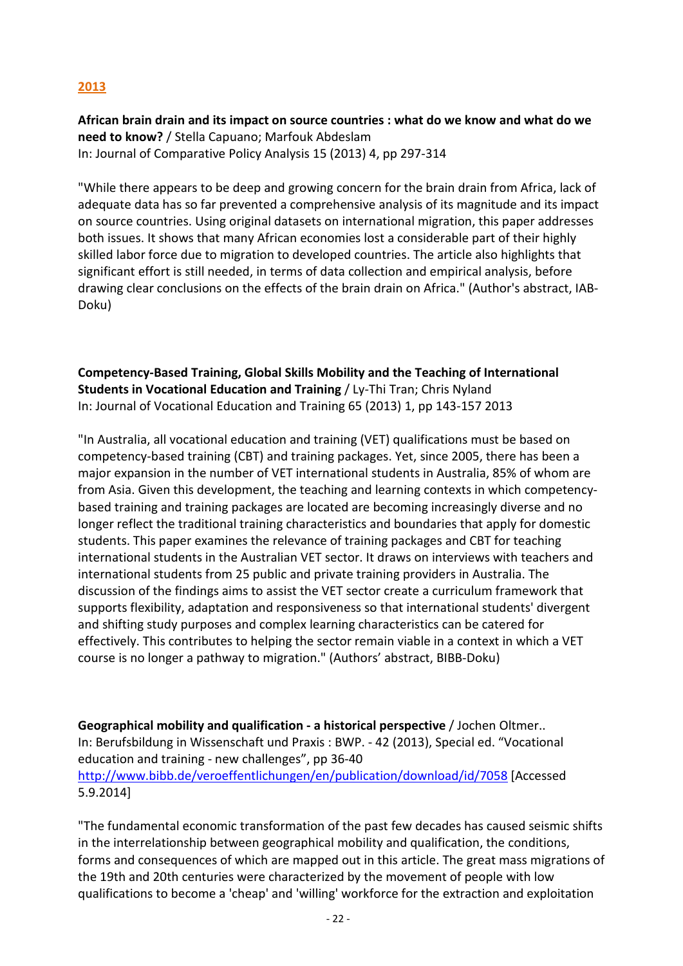#### **2013**

**African brain drain and its impact on source countries : what do we know and what do we need to know?** / Stella Capuano; Marfouk Abdeslam In: Journal of Comparative Policy Analysis 15 (2013) 4, pp 297-314

"While there appears to be deep and growing concern for the brain drain from Africa, lack of adequate data has so far prevented a comprehensive analysis of its magnitude and its impact on source countries. Using original datasets on international migration, this paper addresses both issues. It shows that many African economies lost a considerable part of their highly skilled labor force due to migration to developed countries. The article also highlights that significant effort is still needed, in terms of data collection and empirical analysis, before drawing clear conclusions on the effects of the brain drain on Africa." (Author's abstract, IAB-Doku)

**Competency-Based Training, Global Skills Mobility and the Teaching of International Students in Vocational Education and Training** / Ly-Thi Tran; Chris Nyland In: Journal of Vocational Education and Training 65 (2013) 1, pp 143-157 2013

"In Australia, all vocational education and training (VET) qualifications must be based on competency-based training (CBT) and training packages. Yet, since 2005, there has been a major expansion in the number of VET international students in Australia, 85% of whom are from Asia. Given this development, the teaching and learning contexts in which competencybased training and training packages are located are becoming increasingly diverse and no longer reflect the traditional training characteristics and boundaries that apply for domestic students. This paper examines the relevance of training packages and CBT for teaching international students in the Australian VET sector. It draws on interviews with teachers and international students from 25 public and private training providers in Australia. The discussion of the findings aims to assist the VET sector create a curriculum framework that supports flexibility, adaptation and responsiveness so that international students' divergent and shifting study purposes and complex learning characteristics can be catered for effectively. This contributes to helping the sector remain viable in a context in which a VET course is no longer a pathway to migration." (Authors' abstract, BIBB-Doku)

**Geographical mobility and qualification - a historical perspective** / Jochen Oltmer.. In: Berufsbildung in Wissenschaft und Praxis : BWP. - 42 (2013), Special ed. "Vocational education and training - new challenges", pp 36-40 <http://www.bibb.de/veroeffentlichungen/en/publication/download/id/7058> [Accessed 5.9.2014]

"The fundamental economic transformation of the past few decades has caused seismic shifts in the interrelationship between geographical mobility and qualification, the conditions, forms and consequences of which are mapped out in this article. The great mass migrations of the 19th and 20th centuries were characterized by the movement of people with low qualifications to become a 'cheap' and 'willing' workforce for the extraction and exploitation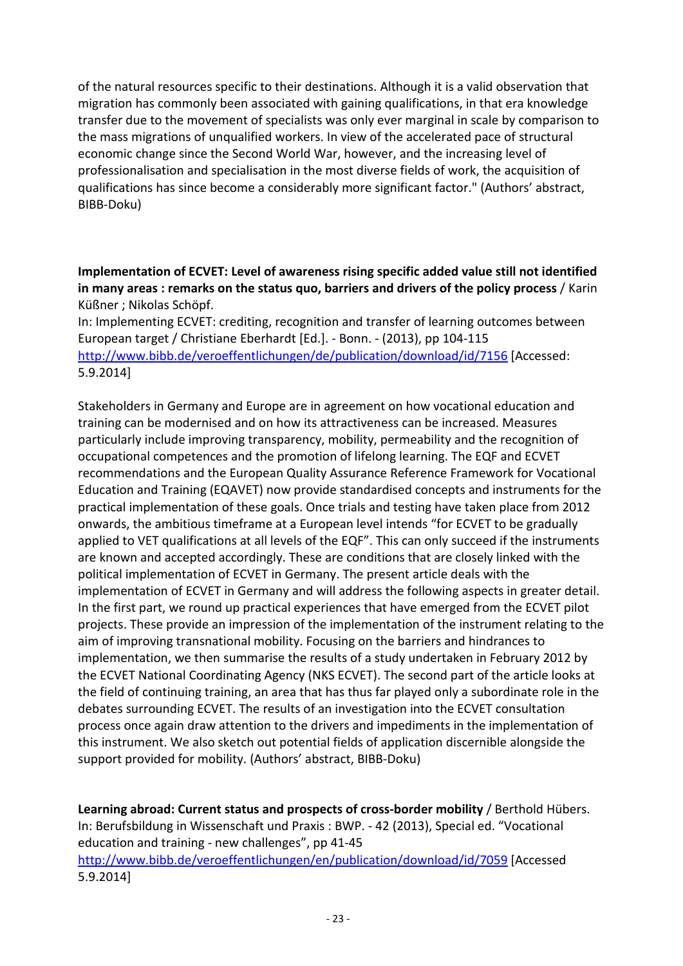of the natural resources specific to their destinations. Although it is a valid observation that migration has commonly been associated with gaining qualifications, in that era knowledge transfer due to the movement of specialists was only ever marginal in scale by comparison to the mass migrations of unqualified workers. In view of the accelerated pace of structural economic change since the Second World War, however, and the increasing level of professionalisation and specialisation in the most diverse fields of work, the acquisition of qualifications has since become a considerably more significant factor." (Authors' abstract, BIBB-Doku)

**Implementation of ECVET: Level of awareness rising specific added value still not identified in many areas : remarks on the status quo, barriers and drivers of the policy process** / Karin Küßner ; Nikolas Schöpf.

In: Implementing ECVET: crediting, recognition and transfer of learning outcomes between European target / Christiane Eberhardt [Ed.]. - Bonn. - (2013), pp 104-115 <http://www.bibb.de/veroeffentlichungen/de/publication/download/id/7156> [Accessed: 5.9.2014]

Stakeholders in Germany and Europe are in agreement on how vocational education and training can be modernised and on how its attractiveness can be increased. Measures particularly include improving transparency, mobility, permeability and the recognition of occupational competences and the promotion of lifelong learning. The EQF and ECVET recommendations and the European Quality Assurance Reference Framework for Vocational Education and Training (EQAVET) now provide standardised concepts and instruments for the practical implementation of these goals. Once trials and testing have taken place from 2012 onwards, the ambitious timeframe at a European level intends "for ECVET to be gradually applied to VET qualifications at all levels of the EQF". This can only succeed if the instruments are known and accepted accordingly. These are conditions that are closely linked with the political implementation of ECVET in Germany. The present article deals with the implementation of ECVET in Germany and will address the following aspects in greater detail. In the first part, we round up practical experiences that have emerged from the ECVET pilot projects. These provide an impression of the implementation of the instrument relating to the aim of improving transnational mobility. Focusing on the barriers and hindrances to implementation, we then summarise the results of a study undertaken in February 2012 by the ECVET National Coordinating Agency (NKS ECVET). The second part of the article looks at the field of continuing training, an area that has thus far played only a subordinate role in the debates surrounding ECVET. The results of an investigation into the ECVET consultation process once again draw attention to the drivers and impediments in the implementation of this instrument. We also sketch out potential fields of application discernible alongside the support provided for mobility. (Authors' abstract, BIBB-Doku)

**Learning abroad: Current status and prospects of cross-border mobility** / Berthold Hübers. In: Berufsbildung in Wissenschaft und Praxis : BWP. - 42 (2013), Special ed. "Vocational education and training - new challenges", pp 41-45 <http://www.bibb.de/veroeffentlichungen/en/publication/download/id/7059> [Accessed 5.9.2014]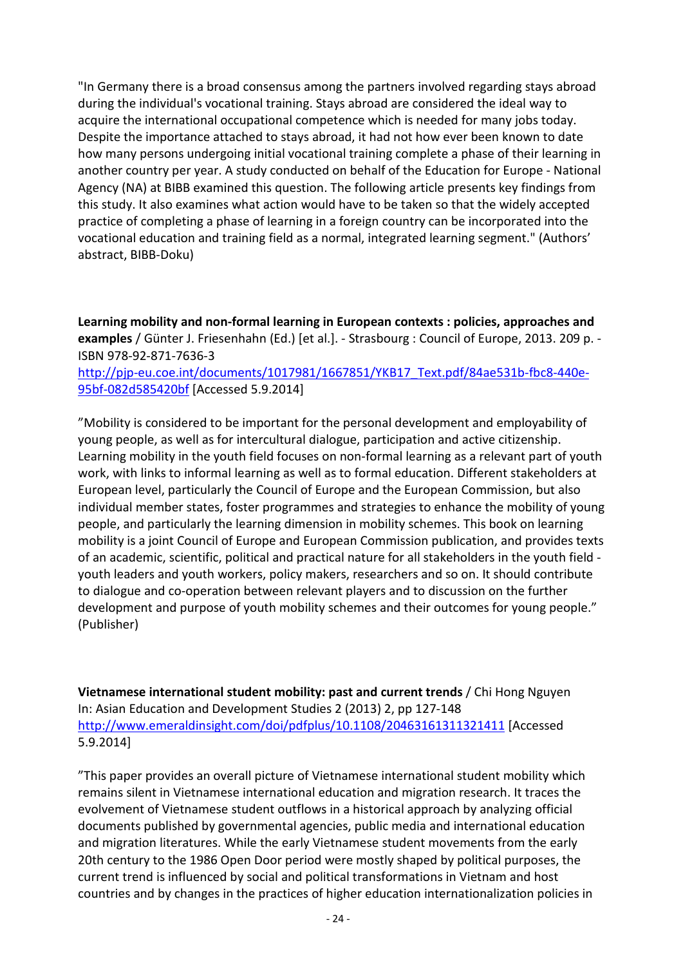"In Germany there is a broad consensus among the partners involved regarding stays abroad during the individual's vocational training. Stays abroad are considered the ideal way to acquire the international occupational competence which is needed for many jobs today. Despite the importance attached to stays abroad, it had not how ever been known to date how many persons undergoing initial vocational training complete a phase of their learning in another country per year. A study conducted on behalf of the Education for Europe - National Agency (NA) at BIBB examined this question. The following article presents key findings from this study. It also examines what action would have to be taken so that the widely accepted practice of completing a phase of learning in a foreign country can be incorporated into the vocational education and training field as a normal, integrated learning segment." (Authors' abstract, BIBB-Doku)

**Learning mobility and non-formal learning in European contexts : policies, approaches and examples** / Günter J. Friesenhahn (Ed.) [et al.]. - Strasbourg : Council of Europe, 2013. 209 p. - ISBN 978-92-871-7636-3

[http://pjp-eu.coe.int/documents/1017981/1667851/YKB17\\_Text.pdf/84ae531b-fbc8-440e-](http://pjp-eu.coe.int/documents/1017981/1667851/YKB17_Text.pdf/84ae531b-fbc8-440e-95bf-082d585420bf)[95bf-082d585420bf](http://pjp-eu.coe.int/documents/1017981/1667851/YKB17_Text.pdf/84ae531b-fbc8-440e-95bf-082d585420bf) [Accessed 5.9.2014]

"Mobility is considered to be important for the personal development and employability of young people, as well as for intercultural dialogue, participation and active citizenship. Learning mobility in the youth field focuses on non-formal learning as a relevant part of youth work, with links to informal learning as well as to formal education. Different stakeholders at European level, particularly the Council of Europe and the European Commission, but also individual member states, foster programmes and strategies to enhance the mobility of young people, and particularly the learning dimension in mobility schemes. This book on learning mobility is a joint Council of Europe and European Commission publication, and provides texts of an academic, scientific, political and practical nature for all stakeholders in the youth field youth leaders and youth workers, policy makers, researchers and so on. It should contribute to dialogue and co-operation between relevant players and to discussion on the further development and purpose of youth mobility schemes and their outcomes for young people." (Publisher)

**Vietnamese international student mobility: past and current trends** / Chi Hong Nguyen In: Asian Education and Development Studies 2 (2013) 2, pp 127-148 <http://www.emeraldinsight.com/doi/pdfplus/10.1108/20463161311321411> [Accessed 5.9.2014]

"This paper provides an overall picture of Vietnamese international student mobility which remains silent in Vietnamese international education and migration research. It traces the evolvement of Vietnamese student outflows in a historical approach by analyzing official documents published by governmental agencies, public media and international education and migration literatures. While the early Vietnamese student movements from the early 20th century to the 1986 Open Door period were mostly shaped by political purposes, the current trend is influenced by social and political transformations in Vietnam and host countries and by changes in the practices of higher education internationalization policies in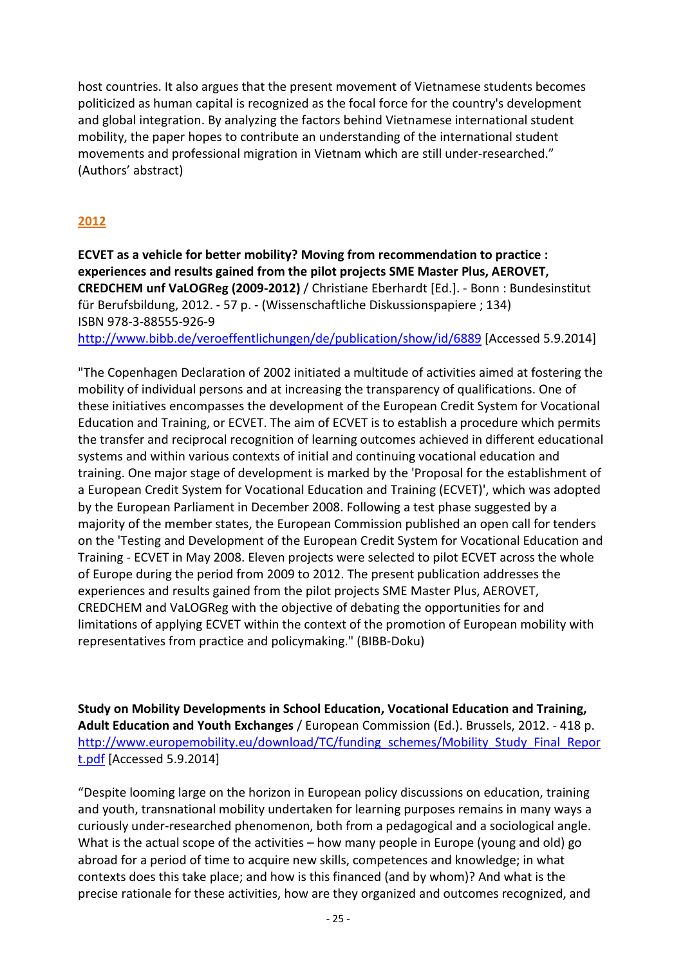host countries. It also argues that the present movement of Vietnamese students becomes politicized as human capital is recognized as the focal force for the country's development and global integration. By analyzing the factors behind Vietnamese international student mobility, the paper hopes to contribute an understanding of the international student movements and professional migration in Vietnam which are still under-researched." (Authors' abstract)

## **2012**

**ECVET as a vehicle for better mobility? Moving from recommendation to practice : experiences and results gained from the pilot projects SME Master Plus, AEROVET, CREDCHEM unf VaLOGReg (2009-2012)** / Christiane Eberhardt [Ed.]. - Bonn : Bundesinstitut für Berufsbildung, 2012. - 57 p. - (Wissenschaftliche Diskussionspapiere ; 134) ISBN 978-3-88555-926-9 <http://www.bibb.de/veroeffentlichungen/de/publication/show/id/6889> [Accessed 5.9.2014]

"The Copenhagen Declaration of 2002 initiated a multitude of activities aimed at fostering the mobility of individual persons and at increasing the transparency of qualifications. One of these initiatives encompasses the development of the European Credit System for Vocational Education and Training, or ECVET. The aim of ECVET is to establish a procedure which permits the transfer and reciprocal recognition of learning outcomes achieved in different educational systems and within various contexts of initial and continuing vocational education and training. One major stage of development is marked by the 'Proposal for the establishment of a European Credit System for Vocational Education and Training (ECVET)', which was adopted by the European Parliament in December 2008. Following a test phase suggested by a majority of the member states, the European Commission published an open call for tenders on the 'Testing and Development of the European Credit System for Vocational Education and Training - ECVET in May 2008. Eleven projects were selected to pilot ECVET across the whole of Europe during the period from 2009 to 2012. The present publication addresses the experiences and results gained from the pilot projects SME Master Plus, AEROVET, CREDCHEM and VaLOGReg with the objective of debating the opportunities for and limitations of applying ECVET within the context of the promotion of European mobility with representatives from practice and policymaking." (BIBB-Doku)

**Study on Mobility Developments in School Education, Vocational Education and Training, Adult Education and Youth Exchanges** / European Commission (Ed.). Brussels, 2012. - 418 p. [http://www.europemobility.eu/download/TC/funding\\_schemes/Mobility\\_Study\\_Final\\_Repor](http://www.europemobility.eu/download/TC/funding_schemes/Mobility_Study_Final_Report.pdf) [t.pdf](http://www.europemobility.eu/download/TC/funding_schemes/Mobility_Study_Final_Report.pdf) [Accessed 5.9.2014]

"Despite looming large on the horizon in European policy discussions on education, training and youth, transnational mobility undertaken for learning purposes remains in many ways a curiously under-researched phenomenon, both from a pedagogical and a sociological angle. What is the actual scope of the activities – how many people in Europe (young and old) go abroad for a period of time to acquire new skills, competences and knowledge; in what contexts does this take place; and how is this financed (and by whom)? And what is the precise rationale for these activities, how are they organized and outcomes recognized, and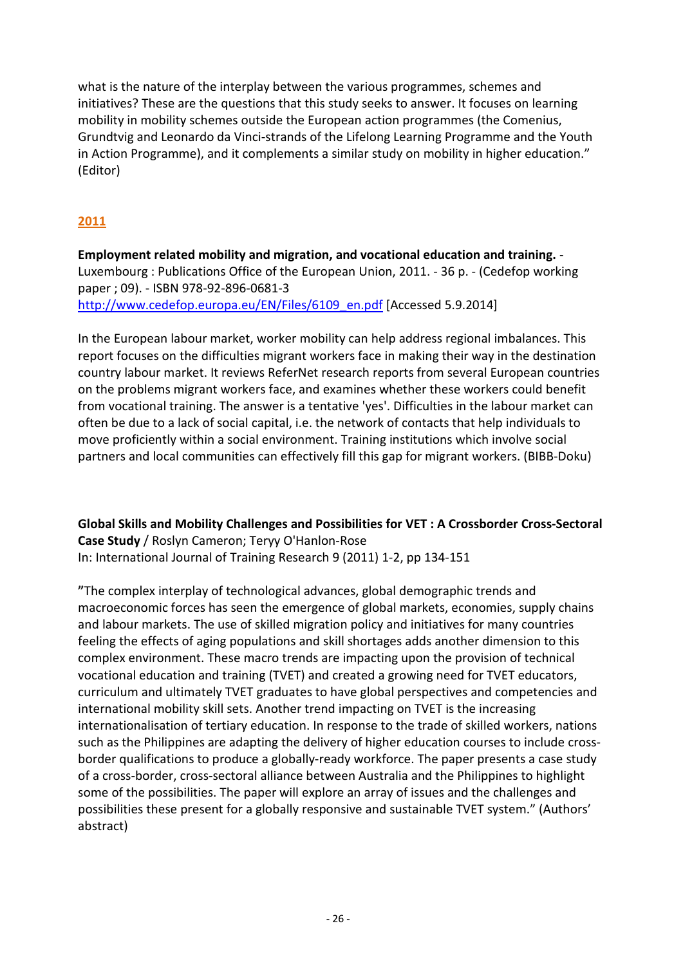what is the nature of the interplay between the various programmes, schemes and initiatives? These are the questions that this study seeks to answer. It focuses on learning mobility in mobility schemes outside the European action programmes (the Comenius, Grundtvig and Leonardo da Vinci-strands of the Lifelong Learning Programme and the Youth in Action Programme), and it complements a similar study on mobility in higher education." (Editor)

### **2011**

**Employment related mobility and migration, and vocational education and training.** - Luxembourg : Publications Office of the European Union, 2011. - 36 p. - (Cedefop working paper ; 09). - ISBN 978-92-896-0681-3 [http://www.cedefop.europa.eu/EN/Files/6109\\_en.pdf](http://www.cedefop.europa.eu/EN/Files/6109_en.pdf) [Accessed 5.9.2014]

In the European labour market, worker mobility can help address regional imbalances. This report focuses on the difficulties migrant workers face in making their way in the destination country labour market. It reviews ReferNet research reports from several European countries on the problems migrant workers face, and examines whether these workers could benefit from vocational training. The answer is a tentative 'yes'. Difficulties in the labour market can often be due to a lack of social capital, i.e. the network of contacts that help individuals to move proficiently within a social environment. Training institutions which involve social partners and local communities can effectively fill this gap for migrant workers. (BIBB-Doku)

**Global Skills and Mobility Challenges and Possibilities for VET : A Crossborder Cross-Sectoral Case Study** / Roslyn Cameron; Teryy O'Hanlon-Rose In: International Journal of Training Research 9 (2011) 1-2, pp 134-151

**"**The complex interplay of technological advances, global demographic trends and macroeconomic forces has seen the emergence of global markets, economies, supply chains and labour markets. The use of skilled migration policy and initiatives for many countries feeling the effects of aging populations and skill shortages adds another dimension to this complex environment. These macro trends are impacting upon the provision of technical vocational education and training (TVET) and created a growing need for TVET educators, curriculum and ultimately TVET graduates to have global perspectives and competencies and international mobility skill sets. Another trend impacting on TVET is the increasing internationalisation of tertiary education. In response to the trade of skilled workers, nations such as the Philippines are adapting the delivery of higher education courses to include crossborder qualifications to produce a globally-ready workforce. The paper presents a case study of a cross-border, cross-sectoral alliance between Australia and the Philippines to highlight some of the possibilities. The paper will explore an array of issues and the challenges and possibilities these present for a globally responsive and sustainable TVET system." (Authors' abstract)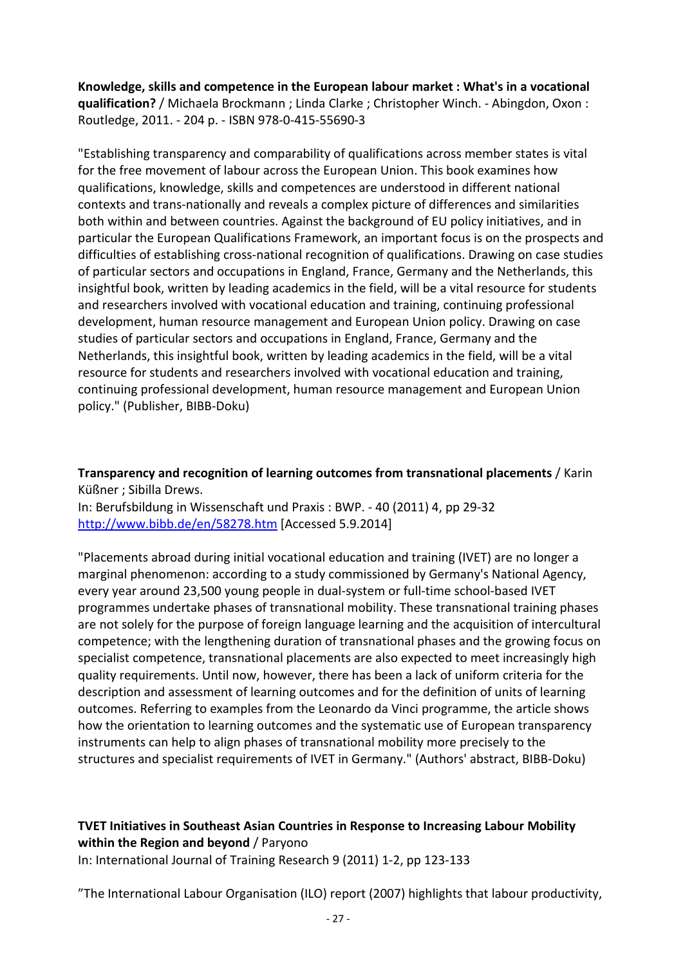**Knowledge, skills and competence in the European labour market : What's in a vocational qualification?** / Michaela Brockmann ; Linda Clarke ; Christopher Winch. - Abingdon, Oxon : Routledge, 2011. - 204 p. - ISBN 978-0-415-55690-3

"Establishing transparency and comparability of qualifications across member states is vital for the free movement of labour across the European Union. This book examines how qualifications, knowledge, skills and competences are understood in different national contexts and trans-nationally and reveals a complex picture of differences and similarities both within and between countries. Against the background of EU policy initiatives, and in particular the European Qualifications Framework, an important focus is on the prospects and difficulties of establishing cross-national recognition of qualifications. Drawing on case studies of particular sectors and occupations in England, France, Germany and the Netherlands, this insightful book, written by leading academics in the field, will be a vital resource for students and researchers involved with vocational education and training, continuing professional development, human resource management and European Union policy. Drawing on case studies of particular sectors and occupations in England, France, Germany and the Netherlands, this insightful book, written by leading academics in the field, will be a vital resource for students and researchers involved with vocational education and training, continuing professional development, human resource management and European Union policy." (Publisher, BIBB-Doku)

**Transparency and recognition of learning outcomes from transnational placements** / Karin Küßner ; Sibilla Drews.

In: Berufsbildung in Wissenschaft und Praxis : BWP. - 40 (2011) 4, pp 29-32 <http://www.bibb.de/en/58278.htm> [Accessed 5.9.2014]

"Placements abroad during initial vocational education and training (IVET) are no longer a marginal phenomenon: according to a study commissioned by Germany's National Agency, every year around 23,500 young people in dual-system or full-time school-based IVET programmes undertake phases of transnational mobility. These transnational training phases are not solely for the purpose of foreign language learning and the acquisition of intercultural competence; with the lengthening duration of transnational phases and the growing focus on specialist competence, transnational placements are also expected to meet increasingly high quality requirements. Until now, however, there has been a lack of uniform criteria for the description and assessment of learning outcomes and for the definition of units of learning outcomes. Referring to examples from the Leonardo da Vinci programme, the article shows how the orientation to learning outcomes and the systematic use of European transparency instruments can help to align phases of transnational mobility more precisely to the structures and specialist requirements of IVET in Germany." (Authors' abstract, BIBB-Doku)

#### **TVET Initiatives in Southeast Asian Countries in Response to Increasing Labour Mobility within the Region and beyond** / Paryono

In: International Journal of Training Research 9 (2011) 1-2, pp 123-133

"The International Labour Organisation (ILO) report (2007) highlights that labour productivity,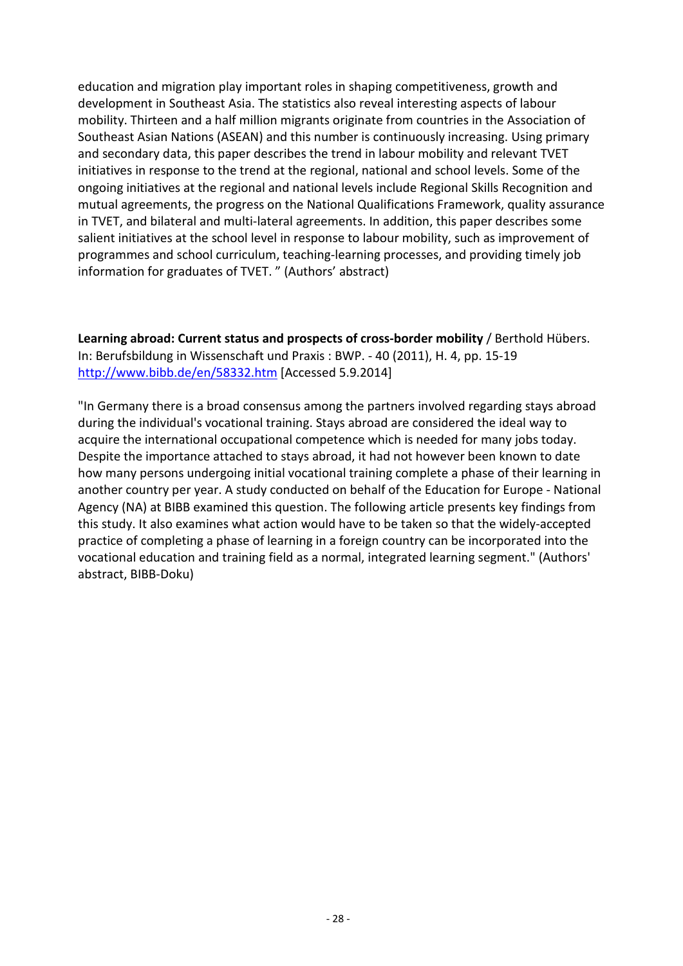education and migration play important roles in shaping competitiveness, growth and development in Southeast Asia. The statistics also reveal interesting aspects of labour mobility. Thirteen and a half million migrants originate from countries in the Association of Southeast Asian Nations (ASEAN) and this number is continuously increasing. Using primary and secondary data, this paper describes the trend in labour mobility and relevant TVET initiatives in response to the trend at the regional, national and school levels. Some of the ongoing initiatives at the regional and national levels include Regional Skills Recognition and mutual agreements, the progress on the National Qualifications Framework, quality assurance in TVET, and bilateral and multi-lateral agreements. In addition, this paper describes some salient initiatives at the school level in response to labour mobility, such as improvement of programmes and school curriculum, teaching-learning processes, and providing timely job information for graduates of TVET. " (Authors' abstract)

**Learning abroad: Current status and prospects of cross-border mobility** / Berthold Hübers. In: Berufsbildung in Wissenschaft und Praxis : BWP. - 40 (2011), H. 4, pp. 15-19 <http://www.bibb.de/en/58332.htm> [Accessed 5.9.2014]

"In Germany there is a broad consensus among the partners involved regarding stays abroad during the individual's vocational training. Stays abroad are considered the ideal way to acquire the international occupational competence which is needed for many jobs today. Despite the importance attached to stays abroad, it had not however been known to date how many persons undergoing initial vocational training complete a phase of their learning in another country per year. A study conducted on behalf of the Education for Europe - National Agency (NA) at BIBB examined this question. The following article presents key findings from this study. It also examines what action would have to be taken so that the widely-accepted practice of completing a phase of learning in a foreign country can be incorporated into the vocational education and training field as a normal, integrated learning segment." (Authors' abstract, BIBB-Doku)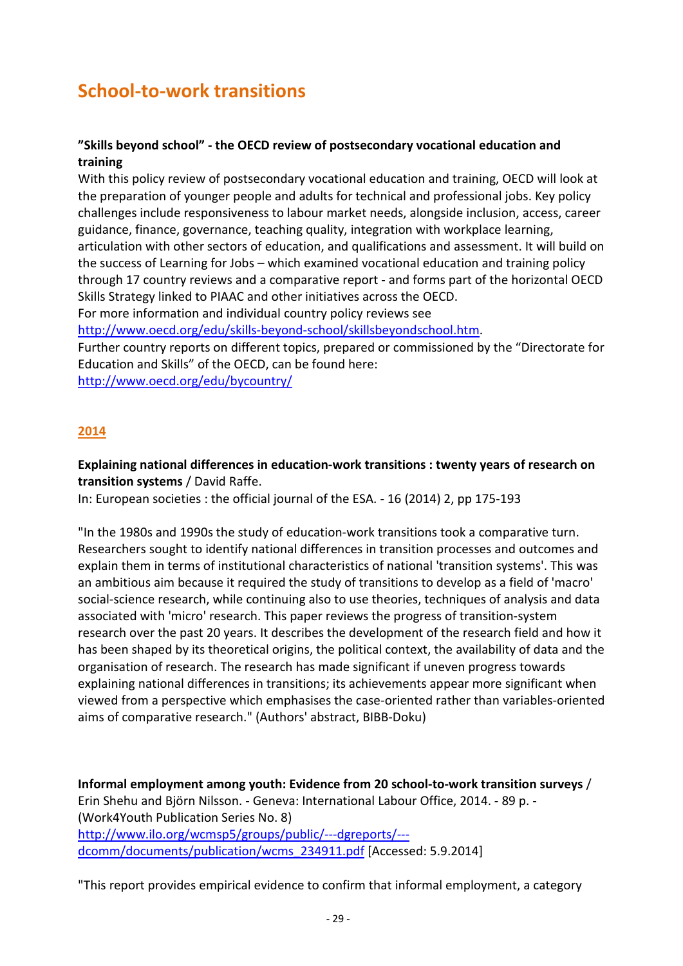# <span id="page-30-0"></span>**School-to-work transitions**

#### **"Skills beyond school" - the OECD review of postsecondary vocational education and training**

With this policy review of postsecondary vocational education and training, OECD will look at the preparation of younger people and adults for technical and professional jobs. Key policy challenges include responsiveness to labour market needs, alongside inclusion, access, career guidance, finance, governance, teaching quality, integration with workplace learning, articulation with other sectors of education, and qualifications and assessment. It will build on the success of Learning for Jobs – which examined vocational education and training policy through 17 country reviews and a comparative report - and forms part of the horizontal OECD Skills Strategy linked to PIAAC and other initiatives across the OECD. For more information and individual country policy reviews see

[http://www.oecd.org/edu/skills-beyond-school/skillsbeyondschool.htm.](http://www.oecd.org/edu/skills-beyond-school/skillsbeyondschool.htm)

Further country reports on different topics, prepared or commissioned by the "Directorate for Education and Skills" of the OECD, can be found here:

<http://www.oecd.org/edu/bycountry/>

#### **2014**

#### **Explaining national differences in education-work transitions : twenty years of research on transition systems** / David Raffe.

In: European societies : the official journal of the ESA. - 16 (2014) 2, pp 175-193

"In the 1980s and 1990s the study of education-work transitions took a comparative turn. Researchers sought to identify national differences in transition processes and outcomes and explain them in terms of institutional characteristics of national 'transition systems'. This was an ambitious aim because it required the study of transitions to develop as a field of 'macro' social-science research, while continuing also to use theories, techniques of analysis and data associated with 'micro' research. This paper reviews the progress of transition-system research over the past 20 years. It describes the development of the research field and how it has been shaped by its theoretical origins, the political context, the availability of data and the organisation of research. The research has made significant if uneven progress towards explaining national differences in transitions; its achievements appear more significant when viewed from a perspective which emphasises the case-oriented rather than variables-oriented aims of comparative research." (Authors' abstract, BIBB-Doku)

**Informal employment among youth: Evidence from 20 school-to-work transition surveys** / Erin Shehu and Björn Nilsson. - Geneva: International Labour Office, 2014. - 89 p. - (Work4Youth Publication Series No. 8) [http://www.ilo.org/wcmsp5/groups/public/---dgreports/--](http://www.ilo.org/wcmsp5/groups/public/---dgreports/---dcomm/documents/publication/wcms_234911.pdf) [dcomm/documents/publication/wcms\\_234911.pdf](http://www.ilo.org/wcmsp5/groups/public/---dgreports/---dcomm/documents/publication/wcms_234911.pdf) [Accessed: 5.9.2014]

"This report provides empirical evidence to confirm that informal employment, a category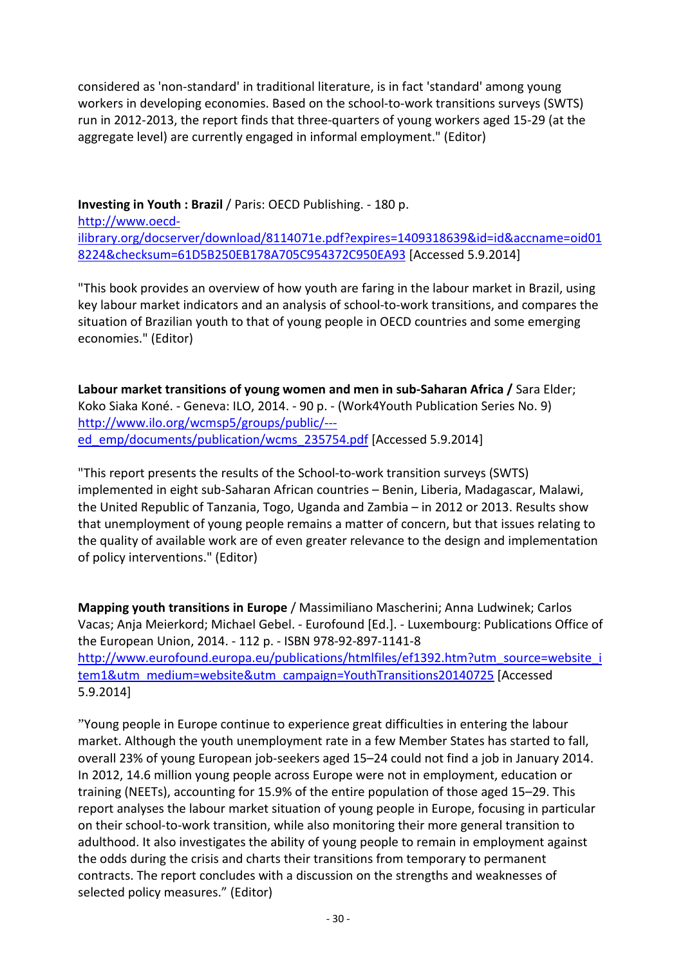considered as 'non-standard' in traditional literature, is in fact 'standard' among young workers in developing economies. Based on the school-to-work transitions surveys (SWTS) run in 2012-2013, the report finds that three-quarters of young workers aged 15-29 (at the aggregate level) are currently engaged in informal employment." (Editor)

**[Investing in Youth](http://www.oecd-ilibrary.org/social-issues-migration-health/investing-in-youth-brazil_9789264208988-en) : Brazil** / Paris: OECD Publishing. - 180 p. [http://www.oecd](http://www.oecd-ilibrary.org/docserver/download/8114071e.pdf?expires=1409318639&id=id&accname=oid018224&checksum=61D5B250EB178A705C954372C950EA93)[ilibrary.org/docserver/download/8114071e.pdf?expires=1409318639&id=id&accname=oid01](http://www.oecd-ilibrary.org/docserver/download/8114071e.pdf?expires=1409318639&id=id&accname=oid018224&checksum=61D5B250EB178A705C954372C950EA93) [8224&checksum=61D5B250EB178A705C954372C950EA93](http://www.oecd-ilibrary.org/docserver/download/8114071e.pdf?expires=1409318639&id=id&accname=oid018224&checksum=61D5B250EB178A705C954372C950EA93) [Accessed 5.9.2014]

"This book provides an overview of how youth are faring in the labour market in Brazil, using key labour market indicators and an analysis of school-to-work transitions, and compares the situation of Brazilian youth to that of young people in OECD countries and some emerging economies." (Editor)

**Labour market transitions of young women and men in sub-Saharan Africa /** Sara Elder; Koko Siaka Koné. - Geneva: ILO, 2014. - 90 p. - (Work4Youth Publication Series No. 9) [http://www.ilo.org/wcmsp5/groups/public/--](http://www.ilo.org/wcmsp5/groups/public/---ed_emp/documents/publication/wcms_235754.pdf) [ed\\_emp/documents/publication/wcms\\_235754.pdf](http://www.ilo.org/wcmsp5/groups/public/---ed_emp/documents/publication/wcms_235754.pdf) [Accessed 5.9.2014]

"This report presents the results of the School-to-work transition surveys (SWTS) implemented in eight sub-Saharan African countries – Benin, Liberia, Madagascar, Malawi, the United Republic of Tanzania, Togo, Uganda and Zambia – in 2012 or 2013. Results show that unemployment of young people remains a matter of concern, but that issues relating to the quality of available work are of even greater relevance to the design and implementation of policy interventions." (Editor)

**Mapping youth transitions in Europe** / Massimiliano Mascherini; Anna Ludwinek; Carlos Vacas; Anja Meierkord; Michael Gebel. - Eurofound [Ed.]. - Luxembourg: Publications Office of the European Union, 2014. - 112 p. - ISBN 978-92-897-1141-8 [http://www.eurofound.europa.eu/publications/htmlfiles/ef1392.htm?utm\\_source=website\\_i](http://www.eurofound.europa.eu/publications/htmlfiles/ef1392.htm?utm_source=website_item1&utm_medium=website&utm_campaign=YouthTransitions20140725) [tem1&utm\\_medium=website&utm\\_campaign=YouthTransitions20140725](http://www.eurofound.europa.eu/publications/htmlfiles/ef1392.htm?utm_source=website_item1&utm_medium=website&utm_campaign=YouthTransitions20140725) [Accessed 5.9.2014]

"Young people in Europe continue to experience great difficulties in entering the labour market. Although the youth unemployment rate in a few Member States has started to fall, overall 23% of young European job-seekers aged 15–24 could not find a job in January 2014. In 2012, 14.6 million young people across Europe were not in employment, education or training (NEETs), accounting for 15.9% of the entire population of those aged 15–29. This report analyses the labour market situation of young people in Europe, focusing in particular on their school-to-work transition, while also monitoring their more general transition to adulthood. It also investigates the ability of young people to remain in employment against the odds during the crisis and charts their transitions from temporary to permanent contracts. The report concludes with a discussion on the strengths and weaknesses of selected policy measures." (Editor)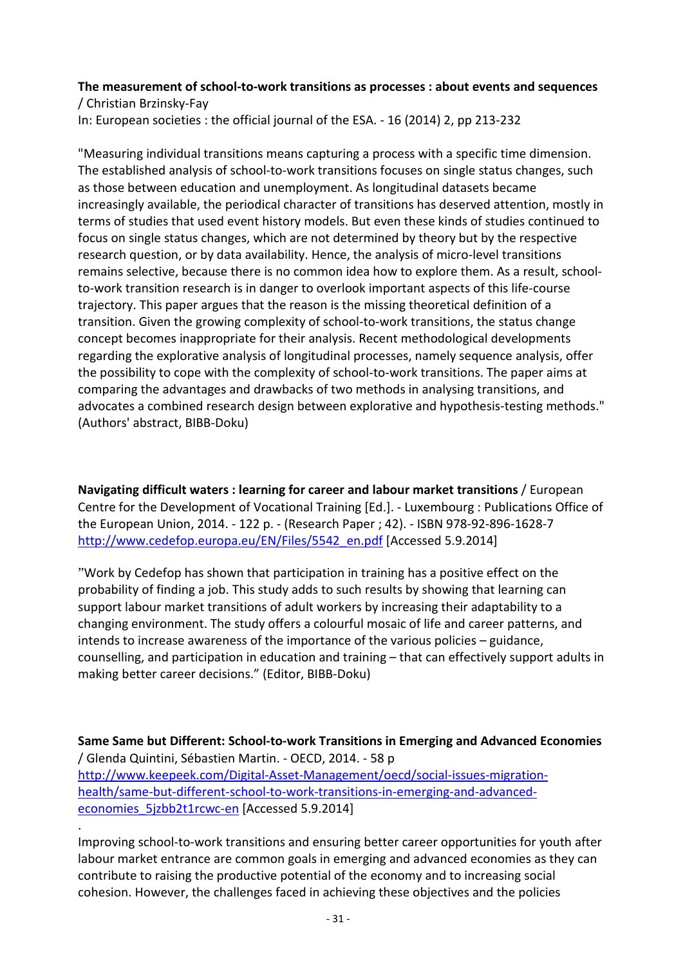#### **The measurement of school-to-work transitions as processes : about events and sequences** / Christian Brzinsky-Fay

In: European societies : the official journal of the ESA. - 16 (2014) 2, pp 213-232

"Measuring individual transitions means capturing a process with a specific time dimension. The established analysis of school-to-work transitions focuses on single status changes, such as those between education and unemployment. As longitudinal datasets became increasingly available, the periodical character of transitions has deserved attention, mostly in terms of studies that used event history models. But even these kinds of studies continued to focus on single status changes, which are not determined by theory but by the respective research question, or by data availability. Hence, the analysis of micro-level transitions remains selective, because there is no common idea how to explore them. As a result, schoolto-work transition research is in danger to overlook important aspects of this life-course trajectory. This paper argues that the reason is the missing theoretical definition of a transition. Given the growing complexity of school-to-work transitions, the status change concept becomes inappropriate for their analysis. Recent methodological developments regarding the explorative analysis of longitudinal processes, namely sequence analysis, offer the possibility to cope with the complexity of school-to-work transitions. The paper aims at comparing the advantages and drawbacks of two methods in analysing transitions, and advocates a combined research design between explorative and hypothesis-testing methods." (Authors' abstract, BIBB-Doku)

**Navigating difficult waters : learning for career and labour market transitions** / European Centre for the Development of Vocational Training [Ed.]. - Luxembourg : Publications Office of the European Union, 2014. - 122 p. - (Research Paper ; 42). - ISBN 978-92-896-1628-7 [http://www.cedefop.europa.eu/EN/Files/5542\\_en.pdf](http://www.cedefop.europa.eu/EN/Files/5542_en.pdf) [Accessed 5.9.2014]

"Work by Cedefop has shown that participation in training has a positive effect on the probability of finding a job. This study adds to such results by showing that learning can support labour market transitions of adult workers by increasing their adaptability to a changing environment. The study offers a colourful mosaic of life and career patterns, and intends to increase awareness of the importance of the various policies – guidance, counselling, and participation in education and training – that can effectively support adults in making better career decisions." (Editor, BIBB-Doku)

**Same Same but Different: School-to-work Transitions in Emerging and Advanced Economies** / Glenda Quintini, Sébastien Martin. - OECD, 2014. - 58 p [http://www.keepeek.com/Digital-Asset-Management/oecd/social-issues-migration](http://www.keepeek.com/Digital-Asset-Management/oecd/social-issues-migration-health/same-but-different-school-to-work-transitions-in-emerging-and-advanced-economies_5jzbb2t1rcwc-en)[health/same-but-different-school-to-work-transitions-in-emerging-and-advanced](http://www.keepeek.com/Digital-Asset-Management/oecd/social-issues-migration-health/same-but-different-school-to-work-transitions-in-emerging-and-advanced-economies_5jzbb2t1rcwc-en)[economies\\_5jzbb2t1rcwc-en](http://www.keepeek.com/Digital-Asset-Management/oecd/social-issues-migration-health/same-but-different-school-to-work-transitions-in-emerging-and-advanced-economies_5jzbb2t1rcwc-en) [Accessed 5.9.2014]

Improving school-to-work transitions and ensuring better career opportunities for youth after labour market entrance are common goals in emerging and advanced economies as they can contribute to raising the productive potential of the economy and to increasing social cohesion. However, the challenges faced in achieving these objectives and the policies

.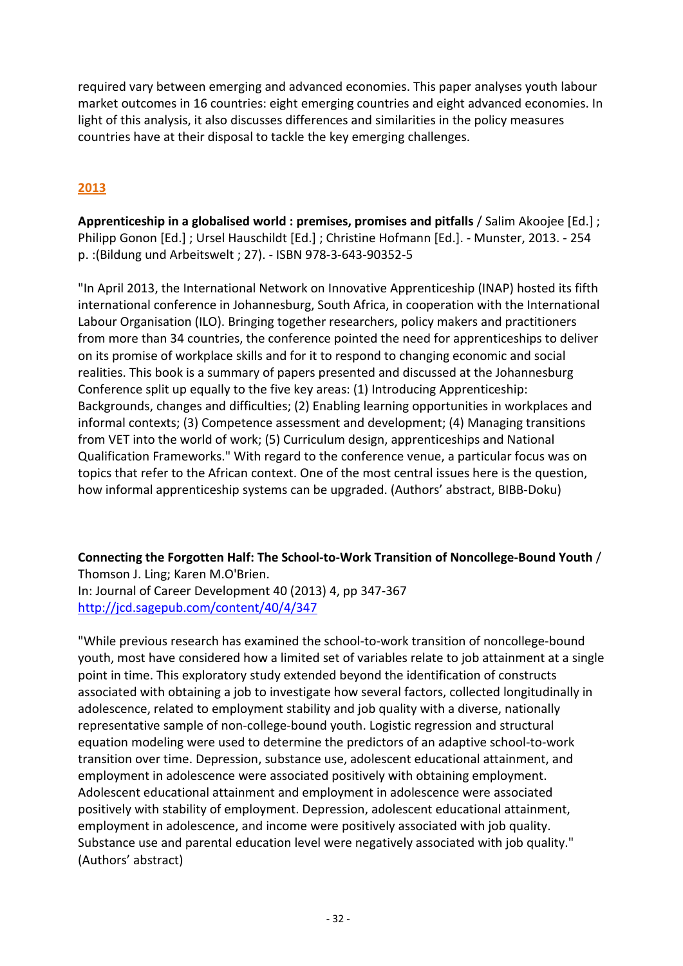required vary between emerging and advanced economies. This paper analyses youth labour market outcomes in 16 countries: eight emerging countries and eight advanced economies. In light of this analysis, it also discusses differences and similarities in the policy measures countries have at their disposal to tackle the key emerging challenges.

## **2013**

**Apprenticeship in a globalised world : premises, promises and pitfalls** / Salim Akoojee [Ed.] ; Philipp Gonon [Ed.] ; Ursel Hauschildt [Ed.] ; Christine Hofmann [Ed.]. - Munster, 2013. - 254 p. :(Bildung und Arbeitswelt ; 27). - ISBN 978-3-643-90352-5

"In April 2013, the International Network on Innovative Apprenticeship (INAP) hosted its fifth international conference in Johannesburg, South Africa, in cooperation with the International Labour Organisation (ILO). Bringing together researchers, policy makers and practitioners from more than 34 countries, the conference pointed the need for apprenticeships to deliver on its promise of workplace skills and for it to respond to changing economic and social realities. This book is a summary of papers presented and discussed at the Johannesburg Conference split up equally to the five key areas: (1) Introducing Apprenticeship: Backgrounds, changes and difficulties; (2) Enabling learning opportunities in workplaces and informal contexts; (3) Competence assessment and development; (4) Managing transitions from VET into the world of work; (5) Curriculum design, apprenticeships and National Qualification Frameworks." With regard to the conference venue, a particular focus was on topics that refer to the African context. One of the most central issues here is the question, how informal apprenticeship systems can be upgraded. (Authors' abstract, BIBB-Doku)

**Connecting the Forgotten Half: The School-to-Work Transition of Noncollege-Bound Youth** / Thomson J. Ling; Karen M.O'Brien. In: Journal of Career Development 40 (2013) 4, pp 347-367 <http://jcd.sagepub.com/content/40/4/347>

"While previous research has examined the school-to-work transition of noncollege-bound youth, most have considered how a limited set of variables relate to job attainment at a single point in time. This exploratory study extended beyond the identification of constructs associated with obtaining a job to investigate how several factors, collected longitudinally in adolescence, related to employment stability and job quality with a diverse, nationally representative sample of non-college-bound youth. Logistic regression and structural equation modeling were used to determine the predictors of an adaptive school-to-work transition over time. Depression, substance use, adolescent educational attainment, and employment in adolescence were associated positively with obtaining employment. Adolescent educational attainment and employment in adolescence were associated positively with stability of employment. Depression, adolescent educational attainment, employment in adolescence, and income were positively associated with job quality. Substance use and parental education level were negatively associated with job quality." (Authors' abstract)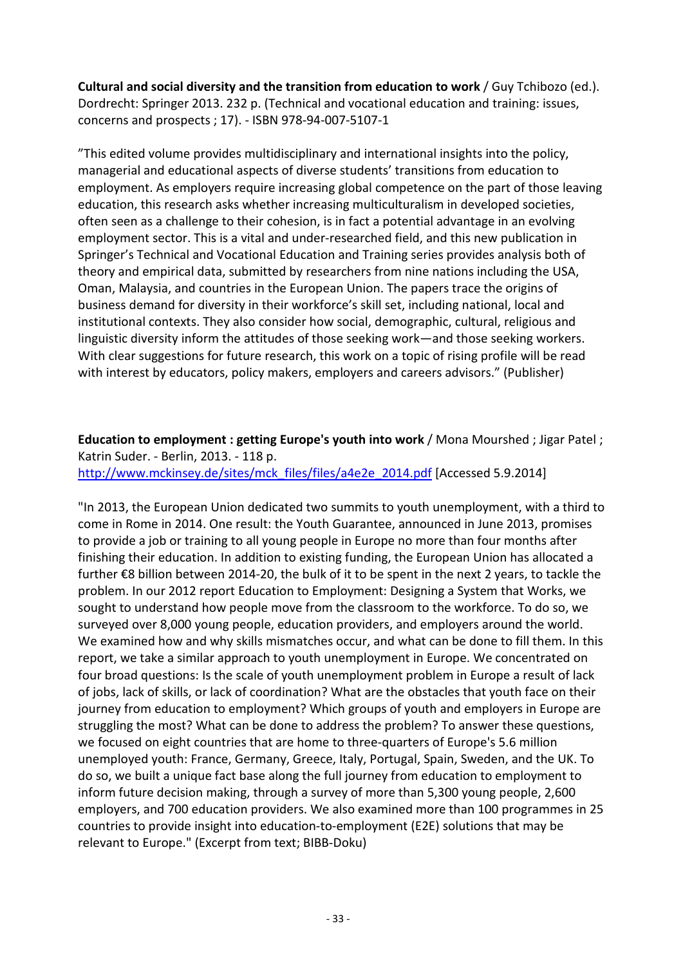**Cultural and social diversity and the transition from education to work** / Guy Tchibozo (ed.). Dordrecht: Springer 2013. 232 p. (Technical and vocational education and training: issues, concerns and prospects ; 17). - ISBN 978-94-007-5107-1

"This edited volume provides multidisciplinary and international insights into the policy, managerial and educational aspects of diverse students' transitions from education to employment. As employers require increasing global competence on the part of those leaving education, this research asks whether increasing multiculturalism in developed societies, often seen as a challenge to their cohesion, is in fact a potential advantage in an evolving employment sector. This is a vital and under-researched field, and this new publication in Springer's Technical and Vocational Education and Training series provides analysis both of theory and empirical data, submitted by researchers from nine nations including the USA, Oman, Malaysia, and countries in the European Union. The papers trace the origins of business demand for diversity in their workforce's skill set, including national, local and institutional contexts. They also consider how social, demographic, cultural, religious and linguistic diversity inform the attitudes of those seeking work—and those seeking workers. With clear suggestions for future research, this work on a topic of rising profile will be read with interest by educators, policy makers, employers and careers advisors." (Publisher)

**Education to employment : getting Europe's youth into work** / Mona Mourshed ; Jigar Patel ; Katrin Suder. - Berlin, 2013. - 118 p. [http://www.mckinsey.de/sites/mck\\_files/files/a4e2e\\_2014.pdf](http://www.mckinsey.de/sites/mck_files/files/a4e2e_2014.pdf) [Accessed 5.9.2014]

"In 2013, the European Union dedicated two summits to youth unemployment, with a third to come in Rome in 2014. One result: the Youth Guarantee, announced in June 2013, promises to provide a job or training to all young people in Europe no more than four months after finishing their education. In addition to existing funding, the European Union has allocated a further €8 billion between 2014-20, the bulk of it to be spent in the next 2 years, to tackle the problem. In our 2012 report Education to Employment: Designing a System that Works, we sought to understand how people move from the classroom to the workforce. To do so, we surveyed over 8,000 young people, education providers, and employers around the world. We examined how and why skills mismatches occur, and what can be done to fill them. In this report, we take a similar approach to youth unemployment in Europe. We concentrated on four broad questions: Is the scale of youth unemployment problem in Europe a result of lack of jobs, lack of skills, or lack of coordination? What are the obstacles that youth face on their journey from education to employment? Which groups of youth and employers in Europe are struggling the most? What can be done to address the problem? To answer these questions, we focused on eight countries that are home to three-quarters of Europe's 5.6 million unemployed youth: France, Germany, Greece, Italy, Portugal, Spain, Sweden, and the UK. To do so, we built a unique fact base along the full journey from education to employment to inform future decision making, through a survey of more than 5,300 young people, 2,600 employers, and 700 education providers. We also examined more than 100 programmes in 25 countries to provide insight into education-to-employment (E2E) solutions that may be relevant to Europe." (Excerpt from text; BIBB-Doku)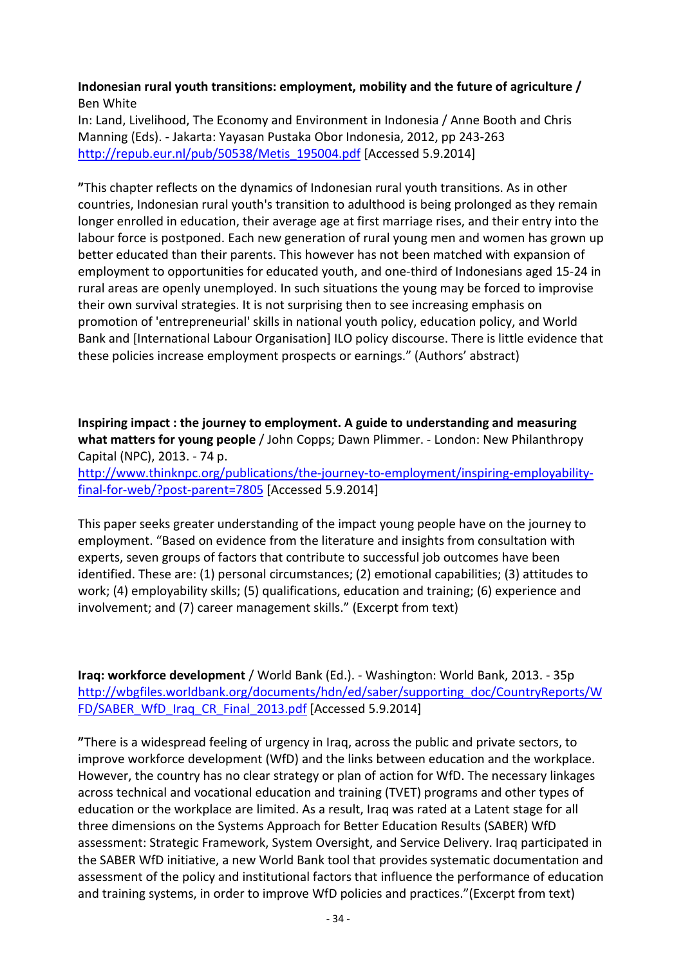#### **Indonesian rural youth transitions: employment, mobility and the future of agriculture /** Ben White

In: Land, Livelihood, The Economy and Environment in Indonesia / Anne Booth and Chris Manning (Eds). - Jakarta: Yayasan Pustaka Obor Indonesia, 2012, pp 243-263 [http://repub.eur.nl/pub/50538/Metis\\_195004.pdf](http://repub.eur.nl/pub/50538/Metis_195004.pdf) [Accessed 5.9.2014]

**"**This chapter reflects on the dynamics of Indonesian rural youth transitions. As in other countries, Indonesian rural youth's transition to adulthood is being prolonged as they remain longer enrolled in education, their average age at first marriage rises, and their entry into the labour force is postponed. Each new generation of rural young men and women has grown up better educated than their parents. This however has not been matched with expansion of employment to opportunities for educated youth, and one-third of Indonesians aged 15-24 in rural areas are openly unemployed. In such situations the young may be forced to improvise their own survival strategies. It is not surprising then to see increasing emphasis on promotion of 'entrepreneurial' skills in national youth policy, education policy, and World Bank and [International Labour Organisation] ILO policy discourse. There is little evidence that these policies increase employment prospects or earnings." (Authors' abstract)

**Inspiring impact : the journey to employment. A guide to understanding and measuring what matters for young people** / John Copps; Dawn Plimmer. - London: New Philanthropy Capital (NPC), 2013. - 74 p.

[http://www.thinknpc.org/publications/the-journey-to-employment/inspiring-employability](javascript:open_window()[final-for-web/?post-parent=7805](javascript:open_window() [Accessed 5.9.2014]

This paper seeks greater understanding of the impact young people have on the journey to employment. "Based on evidence from the literature and insights from consultation with experts, seven groups of factors that contribute to successful job outcomes have been identified. These are: (1) personal circumstances; (2) emotional capabilities; (3) attitudes to work; (4) employability skills; (5) qualifications, education and training; (6) experience and involvement; and (7) career management skills." (Excerpt from text)

**Iraq: workforce development** / World Bank (Ed.). - Washington: World Bank, 2013. - 35p [http://wbgfiles.worldbank.org/documents/hdn/ed/saber/supporting\\_doc/CountryReports/W](http://wbgfiles.worldbank.org/documents/hdn/ed/saber/supporting_doc/CountryReports/WFD/SABER_WfD_Iraq_CR_Final_2013.pdf) [FD/SABER\\_WfD\\_Iraq\\_CR\\_Final\\_2013.pdf](http://wbgfiles.worldbank.org/documents/hdn/ed/saber/supporting_doc/CountryReports/WFD/SABER_WfD_Iraq_CR_Final_2013.pdf) [Accessed 5.9.2014]

**"**There is a widespread feeling of urgency in Iraq, across the public and private sectors, to improve workforce development (WfD) and the links between education and the workplace. However, the country has no clear strategy or plan of action for WfD. The necessary linkages across technical and vocational education and training (TVET) programs and other types of education or the workplace are limited. As a result, Iraq was rated at a Latent stage for all three dimensions on the Systems Approach for Better Education Results (SABER) WfD assessment: Strategic Framework, System Oversight, and Service Delivery. Iraq participated in the SABER WfD initiative, a new World Bank tool that provides systematic documentation and assessment of the policy and institutional factors that influence the performance of education and training systems, in order to improve WfD policies and practices."(Excerpt from text)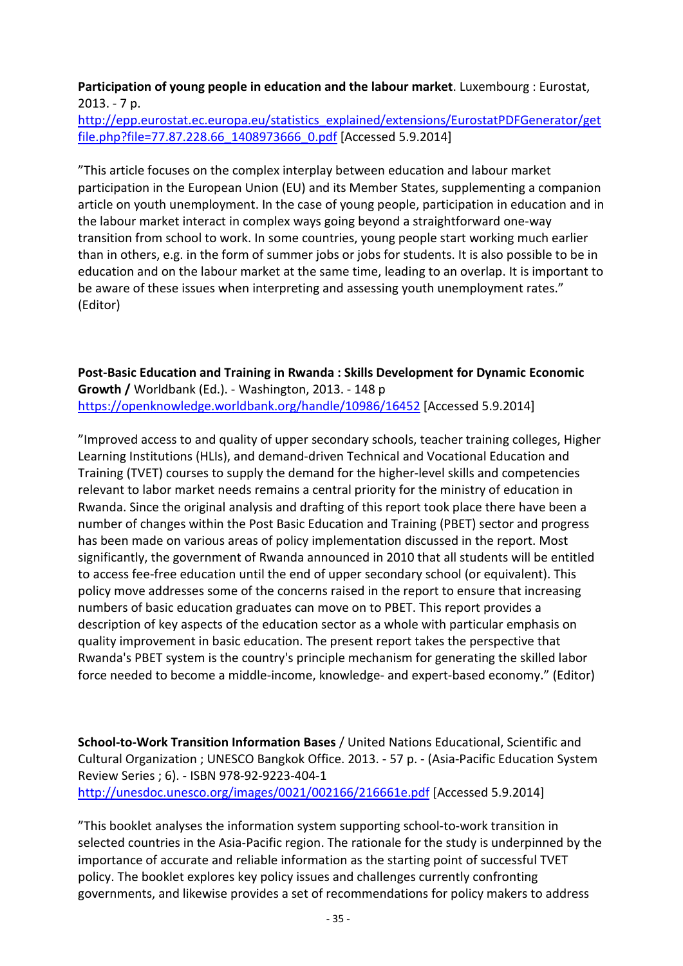**Participation of young people in education and the labour market**. Luxembourg : Eurostat, 2013. - 7 p.

[http://epp.eurostat.ec.europa.eu/statistics\\_explained/extensions/EurostatPDFGenerator/get](http://epp.eurostat.ec.europa.eu/statistics_explained/extensions/EurostatPDFGenerator/getfile.php?file=77.87.228.66_1408973666_0.pdf) [file.php?file=77.87.228.66\\_1408973666\\_0.pdf](http://epp.eurostat.ec.europa.eu/statistics_explained/extensions/EurostatPDFGenerator/getfile.php?file=77.87.228.66_1408973666_0.pdf) [Accessed 5.9.2014]

"This article focuses on the complex interplay between education and labour market participation in the European Union (EU) and its Member States, supplementing a companion article on youth unemployment. In the case of young people, participation in education and in the labour market interact in complex ways going beyond a straightforward one-way transition from school to work. In some countries, young people start working much earlier than in others, e.g. in the form of summer jobs or jobs for students. It is also possible to be in education and on the labour market at the same time, leading to an overlap. It is important to be aware of these issues when interpreting and assessing youth unemployment rates." (Editor)

**Post-Basic Education and Training in Rwanda : Skills Development for Dynamic Economic Growth /** Worldbank (Ed.). - Washington, 2013. - 148 p <https://openknowledge.worldbank.org/handle/10986/16452> [Accessed 5.9.2014]

"Improved access to and quality of upper secondary schools, teacher training colleges, Higher Learning Institutions (HLIs), and demand-driven Technical and Vocational Education and Training (TVET) courses to supply the demand for the higher-level skills and competencies relevant to labor market needs remains a central priority for the ministry of education in Rwanda. Since the original analysis and drafting of this report took place there have been a number of changes within the Post Basic Education and Training (PBET) sector and progress has been made on various areas of policy implementation discussed in the report. Most significantly, the government of Rwanda announced in 2010 that all students will be entitled to access fee-free education until the end of upper secondary school (or equivalent). This policy move addresses some of the concerns raised in the report to ensure that increasing numbers of basic education graduates can move on to PBET. This report provides a description of key aspects of the education sector as a whole with particular emphasis on quality improvement in basic education. The present report takes the perspective that Rwanda's PBET system is the country's principle mechanism for generating the skilled labor force needed to become a middle-income, knowledge- and expert-based economy." (Editor)

**School-to-Work Transition Information Bases** / United Nations Educational, Scientific and Cultural Organization ; UNESCO Bangkok Office. 2013. - 57 p. - (Asia-Pacific Education System Review Series ; 6). - ISBN 978-92-9223-404-1 <http://unesdoc.unesco.org/images/0021/002166/216661e.pdf> [Accessed 5.9.2014]

"This booklet analyses the information system supporting school-to-work transition in selected countries in the Asia-Pacific region. The rationale for the study is underpinned by the importance of accurate and reliable information as the starting point of successful TVET policy. The booklet explores key policy issues and challenges currently confronting governments, and likewise provides a set of recommendations for policy makers to address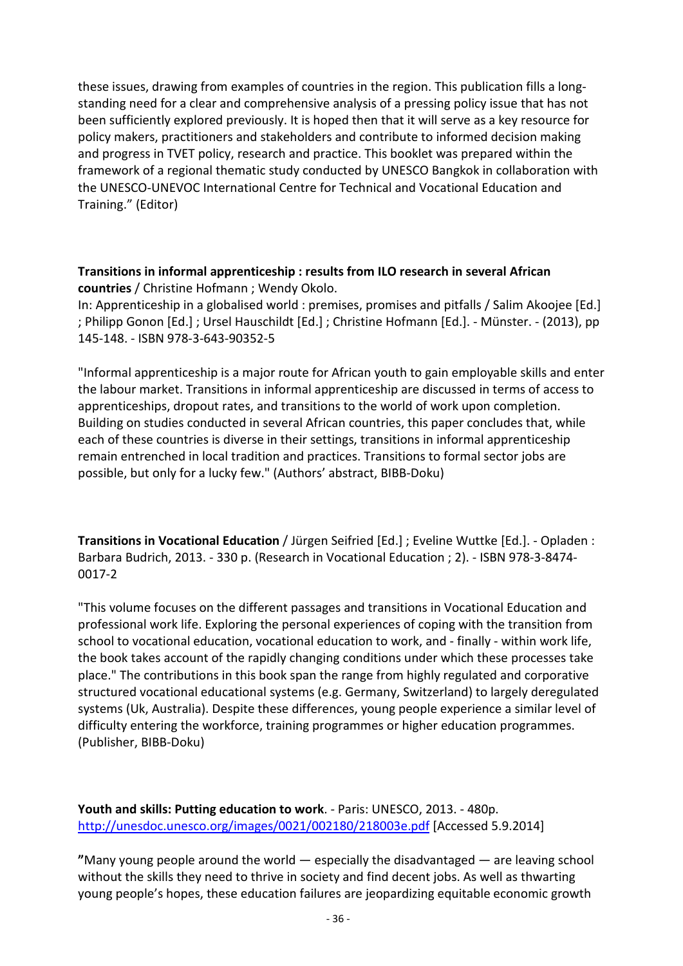these issues, drawing from examples of countries in the region. This publication fills a longstanding need for a clear and comprehensive analysis of a pressing policy issue that has not been sufficiently explored previously. It is hoped then that it will serve as a key resource for policy makers, practitioners and stakeholders and contribute to informed decision making and progress in TVET policy, research and practice. This booklet was prepared within the framework of a regional thematic study conducted by UNESCO Bangkok in collaboration with the UNESCO-UNEVOC International Centre for Technical and Vocational Education and Training." (Editor)

**Transitions in informal apprenticeship : results from ILO research in several African countries** / Christine Hofmann ; Wendy Okolo.

In: Apprenticeship in a globalised world : premises, promises and pitfalls / Salim Akoojee [Ed.] ; Philipp Gonon [Ed.] ; Ursel Hauschildt [Ed.] ; Christine Hofmann [Ed.]. - Münster. - (2013), pp 145-148. - ISBN 978-3-643-90352-5

"Informal apprenticeship is a major route for African youth to gain employable skills and enter the labour market. Transitions in informal apprenticeship are discussed in terms of access to apprenticeships, dropout rates, and transitions to the world of work upon completion. Building on studies conducted in several African countries, this paper concludes that, while each of these countries is diverse in their settings, transitions in informal apprenticeship remain entrenched in local tradition and practices. Transitions to formal sector jobs are possible, but only for a lucky few." (Authors' abstract, BIBB-Doku)

**Transitions in Vocational Education** / Jürgen Seifried [Ed.] ; Eveline Wuttke [Ed.]. - Opladen : Barbara Budrich, 2013. - 330 p. (Research in Vocational Education ; 2). - ISBN 978-3-8474- 0017-2

"This volume focuses on the different passages and transitions in Vocational Education and professional work life. Exploring the personal experiences of coping with the transition from school to vocational education, vocational education to work, and - finally - within work life, the book takes account of the rapidly changing conditions under which these processes take place." The contributions in this book span the range from highly regulated and corporative structured vocational educational systems (e.g. Germany, Switzerland) to largely deregulated systems (Uk, Australia). Despite these differences, young people experience a similar level of difficulty entering the workforce, training programmes or higher education programmes. (Publisher, BIBB-Doku)

**Youth and skills: Putting education to work**. - Paris: UNESCO, 2013. - 480p. <http://unesdoc.unesco.org/images/0021/002180/218003e.pdf> [Accessed 5.9.2014]

**"**Many young people around the world — especially the disadvantaged — are leaving school without the skills they need to thrive in society and find decent jobs. As well as thwarting young people's hopes, these education failures are jeopardizing equitable economic growth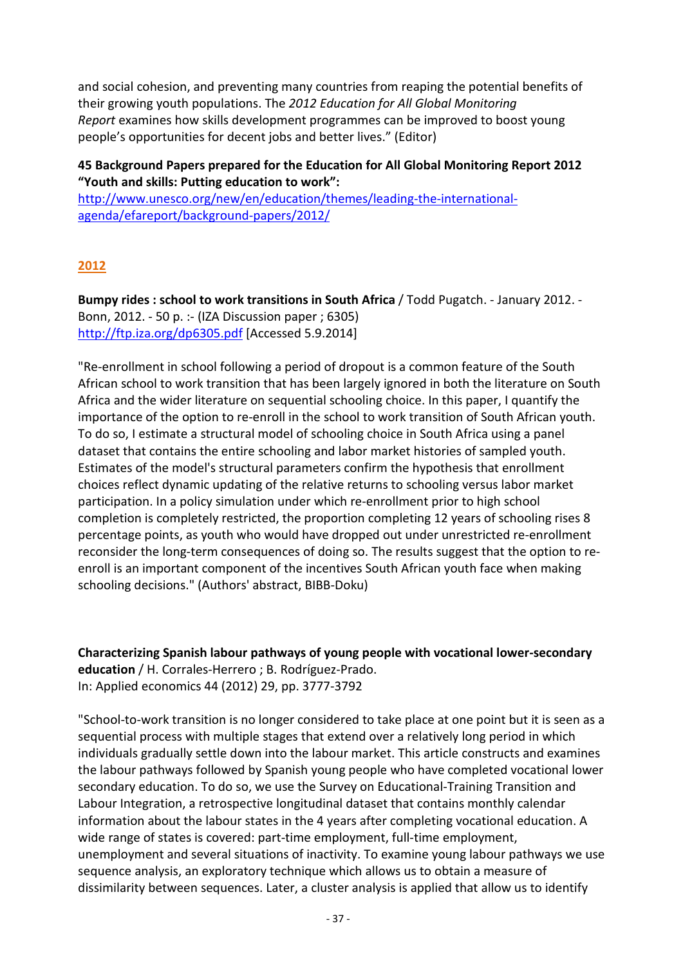and social cohesion, and preventing many countries from reaping the potential benefits of their growing youth populations. The *2012 Education for All Global Monitoring Report* examines how skills development programmes can be improved to boost young people's opportunities for decent jobs and better lives." (Editor)

#### **45 Background Papers prepared for the Education for All Global Monitoring Report 2012 "Youth and skills: Putting education to work":**

[http://www.unesco.org/new/en/education/themes/leading-the-international](http://www.unesco.org/new/en/education/themes/leading-the-international-agenda/efareport/background-papers/2012/)[agenda/efareport/background-papers/2012/](http://www.unesco.org/new/en/education/themes/leading-the-international-agenda/efareport/background-papers/2012/)

## **2012**

**Bumpy rides : school to work transitions in South Africa** / Todd Pugatch. - January 2012. - Bonn, 2012. - 50 p. :- (IZA Discussion paper ; 6305) <http://ftp.iza.org/dp6305.pdf> [Accessed 5.9.2014]

"Re-enrollment in school following a period of dropout is a common feature of the South African school to work transition that has been largely ignored in both the literature on South Africa and the wider literature on sequential schooling choice. In this paper, I quantify the importance of the option to re-enroll in the school to work transition of South African youth. To do so, I estimate a structural model of schooling choice in South Africa using a panel dataset that contains the entire schooling and labor market histories of sampled youth. Estimates of the model's structural parameters confirm the hypothesis that enrollment choices reflect dynamic updating of the relative returns to schooling versus labor market participation. In a policy simulation under which re-enrollment prior to high school completion is completely restricted, the proportion completing 12 years of schooling rises 8 percentage points, as youth who would have dropped out under unrestricted re-enrollment reconsider the long-term consequences of doing so. The results suggest that the option to reenroll is an important component of the incentives South African youth face when making schooling decisions." (Authors' abstract, BIBB-Doku)

**Characterizing Spanish labour pathways of young people with vocational lower-secondary education** / H. Corrales-Herrero ; B. Rodríguez-Prado. In: Applied economics 44 (2012) 29, pp. 3777-3792

"School-to-work transition is no longer considered to take place at one point but it is seen as a sequential process with multiple stages that extend over a relatively long period in which individuals gradually settle down into the labour market. This article constructs and examines the labour pathways followed by Spanish young people who have completed vocational lower secondary education. To do so, we use the Survey on Educational-Training Transition and Labour Integration, a retrospective longitudinal dataset that contains monthly calendar information about the labour states in the 4 years after completing vocational education. A wide range of states is covered: part-time employment, full-time employment, unemployment and several situations of inactivity. To examine young labour pathways we use sequence analysis, an exploratory technique which allows us to obtain a measure of dissimilarity between sequences. Later, a cluster analysis is applied that allow us to identify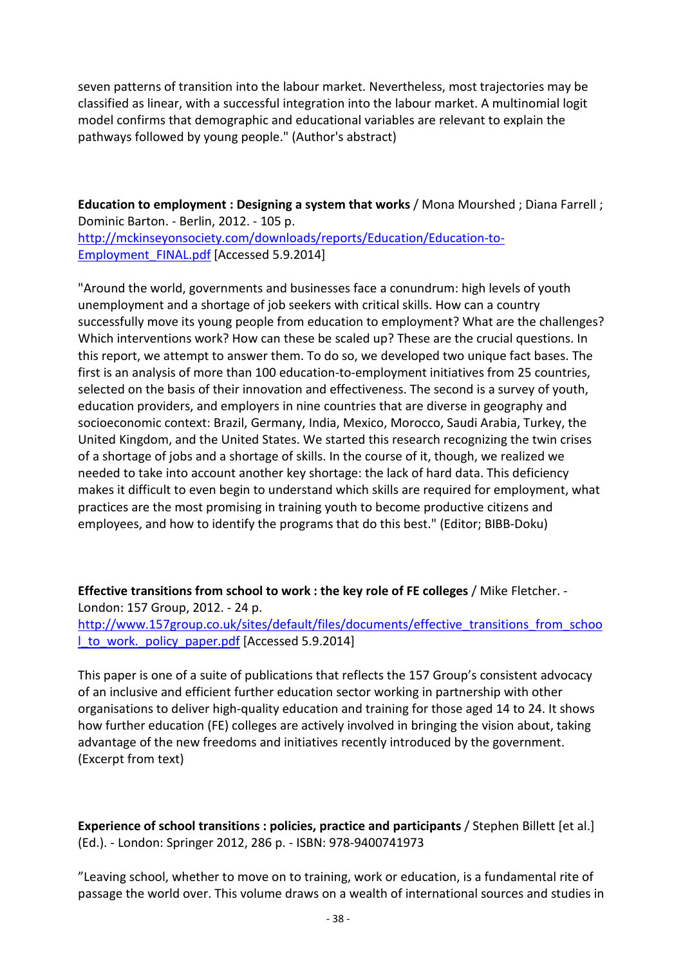seven patterns of transition into the labour market. Nevertheless, most trajectories may be classified as linear, with a successful integration into the labour market. A multinomial logit model confirms that demographic and educational variables are relevant to explain the pathways followed by young people." (Author's abstract)

**Education to employment : Designing a system that works** / Mona Mourshed ; Diana Farrell ; Dominic Barton. - Berlin, 2012. - 105 p. [http://mckinseyonsociety.com/downloads/reports/Education/Education-to-](http://mckinseyonsociety.com/downloads/reports/Education/Education-to-Employment_FINAL.pdf)[Employment\\_FINAL.pdf](http://mckinseyonsociety.com/downloads/reports/Education/Education-to-Employment_FINAL.pdf) [Accessed 5.9.2014]

"Around the world, governments and businesses face a conundrum: high levels of youth unemployment and a shortage of job seekers with critical skills. How can a country successfully move its young people from education to employment? What are the challenges? Which interventions work? How can these be scaled up? These are the crucial questions. In this report, we attempt to answer them. To do so, we developed two unique fact bases. The first is an analysis of more than 100 education-to-employment initiatives from 25 countries, selected on the basis of their innovation and effectiveness. The second is a survey of youth, education providers, and employers in nine countries that are diverse in geography and socioeconomic context: Brazil, Germany, India, Mexico, Morocco, Saudi Arabia, Turkey, the United Kingdom, and the United States. We started this research recognizing the twin crises of a shortage of jobs and a shortage of skills. In the course of it, though, we realized we needed to take into account another key shortage: the lack of hard data. This deficiency makes it difficult to even begin to understand which skills are required for employment, what practices are the most promising in training youth to become productive citizens and employees, and how to identify the programs that do this best." (Editor; BIBB-Doku)

**Effective transitions from school to work : the key role of FE colleges** / Mike Fletcher. - London: 157 Group, 2012. - 24 p.

[http://www.157group.co.uk/sites/default/files/documents/effective\\_transitions\\_from\\_schoo](http://www.157group.co.uk/sites/default/files/documents/effective_transitions_from_school_to_work._policy_paper.pdf) I to work. policy paper.pdf [Accessed 5.9.2014]

This paper is one of a suite of publications that reflects the 157 Group's consistent advocacy of an inclusive and efficient further education sector working in partnership with other organisations to deliver high-quality education and training for those aged 14 to 24. It shows how further education (FE) colleges are actively involved in bringing the vision about, taking advantage of the new freedoms and initiatives recently introduced by the government. (Excerpt from text)

**Experience of school transitions : policies, practice and participants** / Stephen Billett [et al.] (Ed.). - London: Springer 2012, 286 p. - ISBN: 978-9400741973

"Leaving school, whether to move on to training, work or education, is a fundamental rite of passage the world over. This volume draws on a wealth of international sources and studies in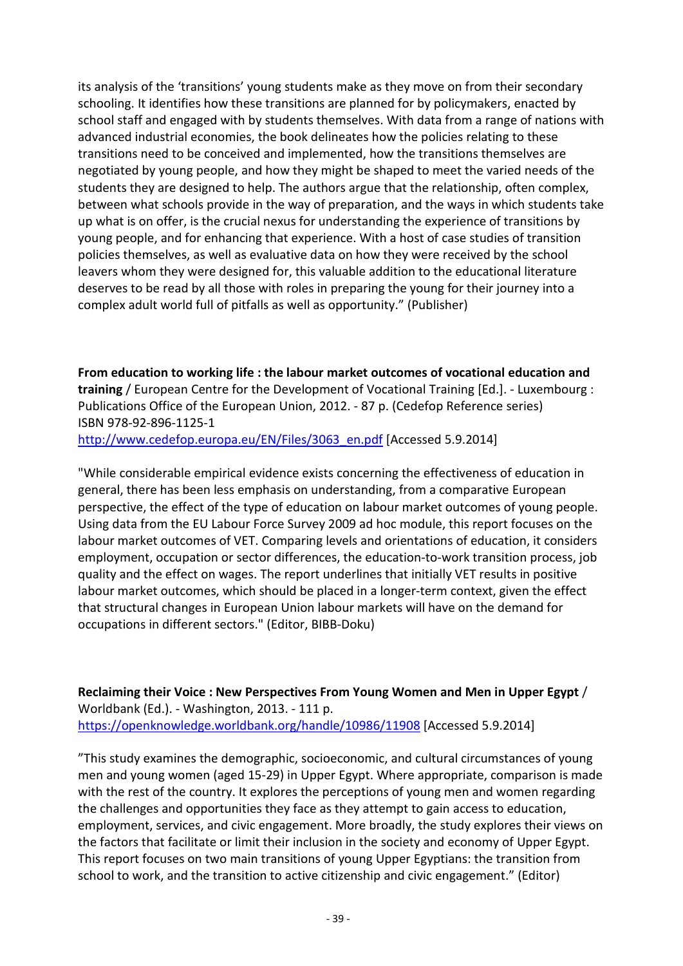its analysis of the 'transitions' young students make as they move on from their secondary schooling. It identifies how these transitions are planned for by policymakers, enacted by school staff and engaged with by students themselves. With data from a range of nations with advanced industrial economies, the book delineates how the policies relating to these transitions need to be conceived and implemented, how the transitions themselves are negotiated by young people, and how they might be shaped to meet the varied needs of the students they are designed to help. The authors argue that the relationship, often complex, between what schools provide in the way of preparation, and the ways in which students take up what is on offer, is the crucial nexus for understanding the experience of transitions by young people, and for enhancing that experience. With a host of case studies of transition policies themselves, as well as evaluative data on how they were received by the school leavers whom they were designed for, this valuable addition to the educational literature deserves to be read by all those with roles in preparing the young for their journey into a complex adult world full of pitfalls as well as opportunity." (Publisher)

**From education to working life : the labour market outcomes of vocational education and training** / European Centre for the Development of Vocational Training [Ed.]. - Luxembourg : Publications Office of the European Union, 2012. - 87 p. (Cedefop Reference series) ISBN 978-92-896-1125-1

[http://www.cedefop.europa.eu/EN/Files/3063\\_en.pdf](http://www.cedefop.europa.eu/EN/Files/3063_en.pdf) [Accessed 5.9.2014]

"While considerable empirical evidence exists concerning the effectiveness of education in general, there has been less emphasis on understanding, from a comparative European perspective, the effect of the type of education on labour market outcomes of young people. Using data from the EU Labour Force Survey 2009 ad hoc module, this report focuses on the labour market outcomes of VET. Comparing levels and orientations of education, it considers employment, occupation or sector differences, the education-to-work transition process, job quality and the effect on wages. The report underlines that initially VET results in positive labour market outcomes, which should be placed in a longer-term context, given the effect that structural changes in European Union labour markets will have on the demand for occupations in different sectors." (Editor, BIBB-Doku)

**Reclaiming their Voice : New Perspectives From Young Women and Men in Upper Egypt** / Worldbank (Ed.). - Washington, 2013. - 111 p. <https://openknowledge.worldbank.org/handle/10986/11908> [Accessed 5.9.2014]

"This study examines the demographic, socioeconomic, and cultural circumstances of young men and young women (aged 15-29) in Upper Egypt. Where appropriate, comparison is made with the rest of the country. It explores the perceptions of young men and women regarding the challenges and opportunities they face as they attempt to gain access to education, employment, services, and civic engagement. More broadly, the study explores their views on the factors that facilitate or limit their inclusion in the society and economy of Upper Egypt. This report focuses on two main transitions of young Upper Egyptians: the transition from school to work, and the transition to active citizenship and civic engagement." (Editor)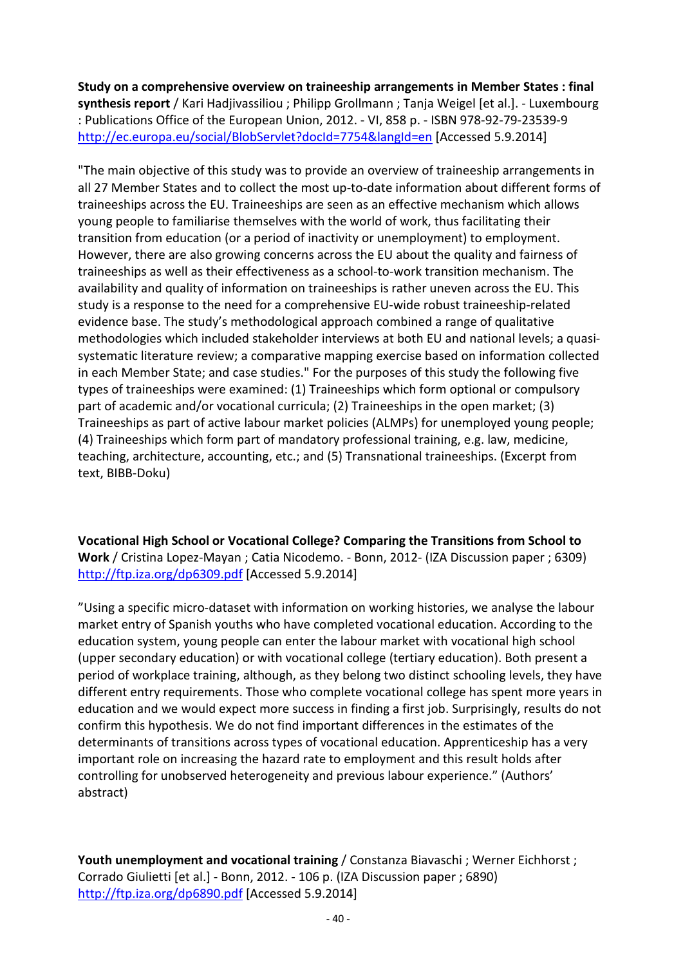**Study on a comprehensive overview on traineeship arrangements in Member States : final synthesis report** / Kari Hadjivassiliou ; Philipp Grollmann ; Tanja Weigel [et al.]. - Luxembourg : Publications Office of the European Union, 2012. - VI, 858 p. - ISBN 978-92-79-23539-9 <http://ec.europa.eu/social/BlobServlet?docId=7754&langId=en> [Accessed 5.9.2014]

"The main objective of this study was to provide an overview of traineeship arrangements in all 27 Member States and to collect the most up-to-date information about different forms of traineeships across the EU. Traineeships are seen as an effective mechanism which allows young people to familiarise themselves with the world of work, thus facilitating their transition from education (or a period of inactivity or unemployment) to employment. However, there are also growing concerns across the EU about the quality and fairness of traineeships as well as their effectiveness as a school-to-work transition mechanism. The availability and quality of information on traineeships is rather uneven across the EU. This study is a response to the need for a comprehensive EU-wide robust traineeship-related evidence base. The study's methodological approach combined a range of qualitative methodologies which included stakeholder interviews at both EU and national levels; a quasisystematic literature review; a comparative mapping exercise based on information collected in each Member State; and case studies." For the purposes of this study the following five types of traineeships were examined: (1) Traineeships which form optional or compulsory part of academic and/or vocational curricula; (2) Traineeships in the open market; (3) Traineeships as part of active labour market policies (ALMPs) for unemployed young people; (4) Traineeships which form part of mandatory professional training, e.g. law, medicine, teaching, architecture, accounting, etc.; and (5) Transnational traineeships. (Excerpt from text, BIBB-Doku)

**Vocational High School or Vocational College? Comparing the Transitions from School to Work** / Cristina Lopez-Mayan ; Catia Nicodemo. - Bonn, 2012- (IZA Discussion paper ; 6309) <http://ftp.iza.org/dp6309.pdf> [Accessed 5.9.2014]

"Using a specific micro-dataset with information on working histories, we analyse the labour market entry of Spanish youths who have completed vocational education. According to the education system, young people can enter the labour market with vocational high school (upper secondary education) or with vocational college (tertiary education). Both present a period of workplace training, although, as they belong two distinct schooling levels, they have different entry requirements. Those who complete vocational college has spent more years in education and we would expect more success in finding a first job. Surprisingly, results do not confirm this hypothesis. We do not find important differences in the estimates of the determinants of transitions across types of vocational education. Apprenticeship has a very important role on increasing the hazard rate to employment and this result holds after controlling for unobserved heterogeneity and previous labour experience." (Authors' abstract)

**Youth unemployment and vocational training** / Constanza Biavaschi ; Werner Eichhorst ; Corrado Giulietti [et al.] - Bonn, 2012. - 106 p. (IZA Discussion paper ; 6890) <http://ftp.iza.org/dp6890.pdf> [Accessed 5.9.2014]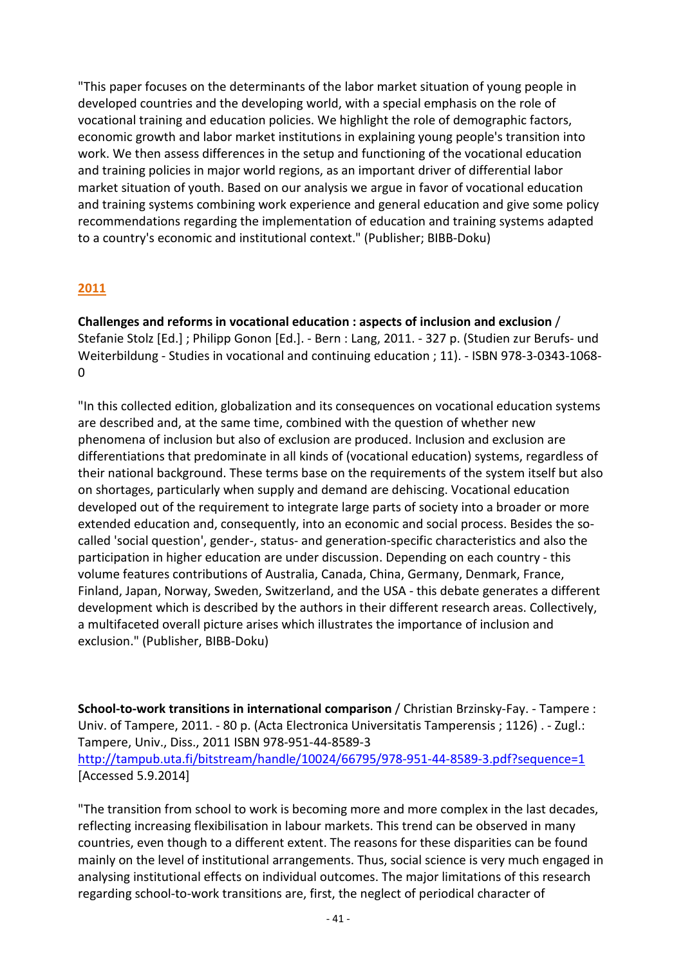"This paper focuses on the determinants of the labor market situation of young people in developed countries and the developing world, with a special emphasis on the role of vocational training and education policies. We highlight the role of demographic factors, economic growth and labor market institutions in explaining young people's transition into work. We then assess differences in the setup and functioning of the vocational education and training policies in major world regions, as an important driver of differential labor market situation of youth. Based on our analysis we argue in favor of vocational education and training systems combining work experience and general education and give some policy recommendations regarding the implementation of education and training systems adapted to a country's economic and institutional context." (Publisher; BIBB-Doku)

#### **2011**

**Challenges and reforms in vocational education : aspects of inclusion and exclusion** / Stefanie Stolz [Ed.] ; Philipp Gonon [Ed.]. - Bern : Lang, 2011. - 327 p. (Studien zur Berufs- und Weiterbildung - Studies in vocational and continuing education ; 11). - ISBN 978-3-0343-1068-  $\Omega$ 

"In this collected edition, globalization and its consequences on vocational education systems are described and, at the same time, combined with the question of whether new phenomena of inclusion but also of exclusion are produced. Inclusion and exclusion are differentiations that predominate in all kinds of (vocational education) systems, regardless of their national background. These terms base on the requirements of the system itself but also on shortages, particularly when supply and demand are dehiscing. Vocational education developed out of the requirement to integrate large parts of society into a broader or more extended education and, consequently, into an economic and social process. Besides the socalled 'social question', gender-, status- and generation-specific characteristics and also the participation in higher education are under discussion. Depending on each country - this volume features contributions of Australia, Canada, China, Germany, Denmark, France, Finland, Japan, Norway, Sweden, Switzerland, and the USA - this debate generates a different development which is described by the authors in their different research areas. Collectively, a multifaceted overall picture arises which illustrates the importance of inclusion and exclusion." (Publisher, BIBB-Doku)

**School-to-work transitions in international comparison** / Christian Brzinsky-Fay. - Tampere : Univ. of Tampere, 2011. - 80 p. (Acta Electronica Universitatis Tamperensis ; 1126) . - Zugl.: Tampere, Univ., Diss., 2011 ISBN 978-951-44-8589-3 <http://tampub.uta.fi/bitstream/handle/10024/66795/978-951-44-8589-3.pdf?sequence=1> [Accessed 5.9.2014]

"The transition from school to work is becoming more and more complex in the last decades, reflecting increasing flexibilisation in labour markets. This trend can be observed in many countries, even though to a different extent. The reasons for these disparities can be found mainly on the level of institutional arrangements. Thus, social science is very much engaged in analysing institutional effects on individual outcomes. The major limitations of this research regarding school-to-work transitions are, first, the neglect of periodical character of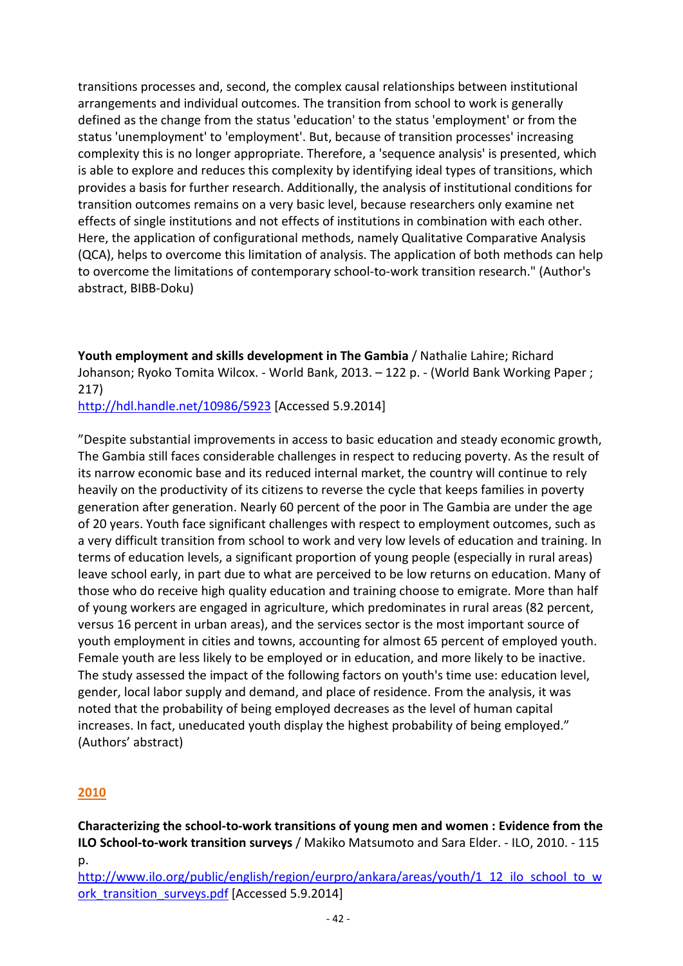transitions processes and, second, the complex causal relationships between institutional arrangements and individual outcomes. The transition from school to work is generally defined as the change from the status 'education' to the status 'employment' or from the status 'unemployment' to 'employment'. But, because of transition processes' increasing complexity this is no longer appropriate. Therefore, a 'sequence analysis' is presented, which is able to explore and reduces this complexity by identifying ideal types of transitions, which provides a basis for further research. Additionally, the analysis of institutional conditions for transition outcomes remains on a very basic level, because researchers only examine net effects of single institutions and not effects of institutions in combination with each other. Here, the application of configurational methods, namely Qualitative Comparative Analysis (QCA), helps to overcome this limitation of analysis. The application of both methods can help to overcome the limitations of contemporary school-to-work transition research." (Author's abstract, BIBB-Doku)

**Youth employment and skills development in The Gambia** / Nathalie Lahire; Richard Johanson; Ryoko Tomita Wilcox. - World Bank, 2013. – 122 p. - (World Bank Working Paper ; 217)

<http://hdl.handle.net/10986/5923> [Accessed 5.9.2014]

"Despite substantial improvements in access to basic education and steady economic growth, The Gambia still faces considerable challenges in respect to reducing poverty. As the result of its narrow economic base and its reduced internal market, the country will continue to rely heavily on the productivity of its citizens to reverse the cycle that keeps families in poverty generation after generation. Nearly 60 percent of the poor in The Gambia are under the age of 20 years. Youth face significant challenges with respect to employment outcomes, such as a very difficult transition from school to work and very low levels of education and training. In terms of education levels, a significant proportion of young people (especially in rural areas) leave school early, in part due to what are perceived to be low returns on education. Many of those who do receive high quality education and training choose to emigrate. More than half of young workers are engaged in agriculture, which predominates in rural areas (82 percent, versus 16 percent in urban areas), and the services sector is the most important source of youth employment in cities and towns, accounting for almost 65 percent of employed youth. Female youth are less likely to be employed or in education, and more likely to be inactive. The study assessed the impact of the following factors on youth's time use: education level, gender, local labor supply and demand, and place of residence. From the analysis, it was noted that the probability of being employed decreases as the level of human capital increases. In fact, uneducated youth display the highest probability of being employed." (Authors' abstract)

## **2010**

**Characterizing the school-to-work transitions of young men and women : Evidence from the ILO School-to-work transition surveys** / Makiko Matsumoto and Sara Elder. - ILO, 2010. - 115 p.

[http://www.ilo.org/public/english/region/eurpro/ankara/areas/youth/1\\_12\\_ilo\\_school\\_to\\_w](http://www.ilo.org/public/english/region/eurpro/ankara/areas/youth/1_12_ilo_school_to_work_transition_surveys.pdf) ork transition surveys.pdf [Accessed 5.9.2014]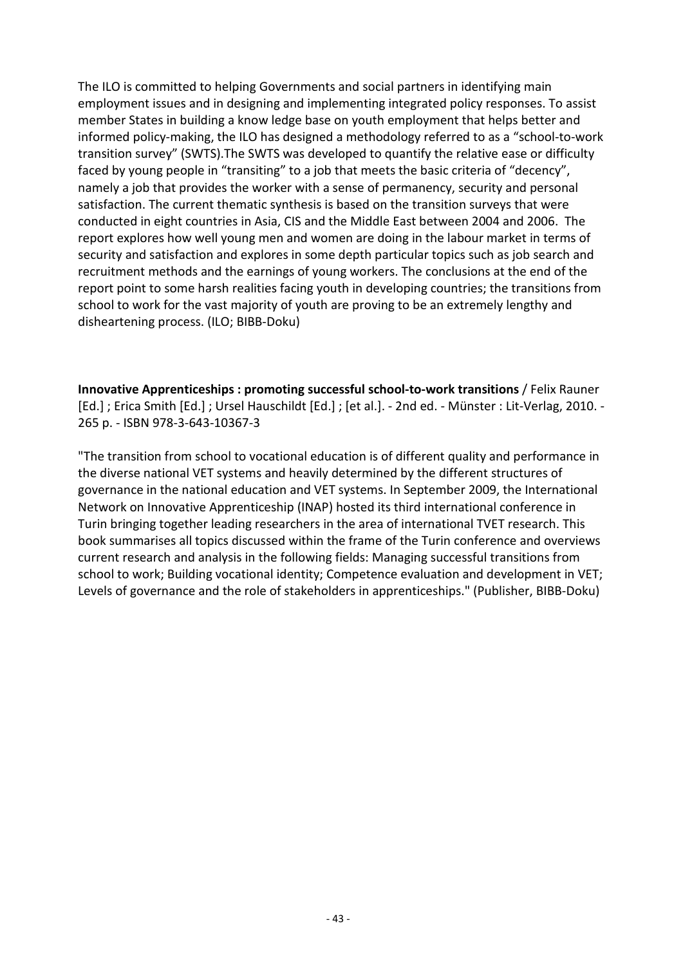The ILO is committed to helping Governments and social partners in identifying main employment issues and in designing and implementing integrated policy responses. To assist member States in building a know ledge base on youth employment that helps better and informed policy-making, the ILO has designed a methodology referred to as a "school-to-work transition survey" (SWTS).The SWTS was developed to quantify the relative ease or difficulty faced by young people in "transiting" to a job that meets the basic criteria of "decency", namely a job that provides the worker with a sense of permanency, security and personal satisfaction. The current thematic synthesis is based on the transition surveys that were conducted in eight countries in Asia, CIS and the Middle East between 2004 and 2006. The report explores how well young men and women are doing in the labour market in terms of security and satisfaction and explores in some depth particular topics such as job search and recruitment methods and the earnings of young workers. The conclusions at the end of the report point to some harsh realities facing youth in developing countries; the transitions from school to work for the vast majority of youth are proving to be an extremely lengthy and disheartening process. (ILO; BIBB-Doku)

**Innovative Apprenticeships : promoting successful school-to-work transitions** / Felix Rauner [Ed.] ; Erica Smith [Ed.] ; Ursel Hauschildt [Ed.] ; [et al.]. - 2nd ed. - Münster : Lit-Verlag, 2010. - 265 p. - ISBN 978-3-643-10367-3

"The transition from school to vocational education is of different quality and performance in the diverse national VET systems and heavily determined by the different structures of governance in the national education and VET systems. In September 2009, the International Network on Innovative Apprenticeship (INAP) hosted its third international conference in Turin bringing together leading researchers in the area of international TVET research. This book summarises all topics discussed within the frame of the Turin conference and overviews current research and analysis in the following fields: Managing successful transitions from school to work; Building vocational identity; Competence evaluation and development in VET; Levels of governance and the role of stakeholders in apprenticeships." (Publisher, BIBB-Doku)